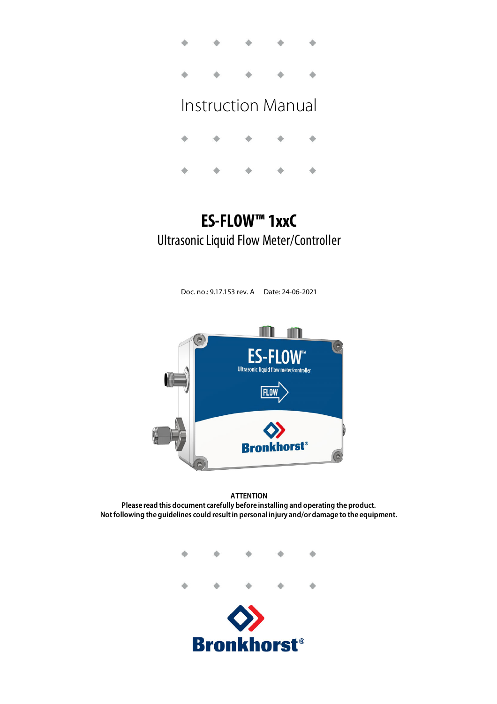

# **ES-FLOW™ 1xxC** Ultrasonic Liquid Flow Meter/Controller

Doc. no.: 9.17.153 rev. A Date: 24-06-2021



**ATTENTION Please read this document carefully before installing and operating the product. Not following the guidelines could result in personal injury and/or damage to the equipment.**

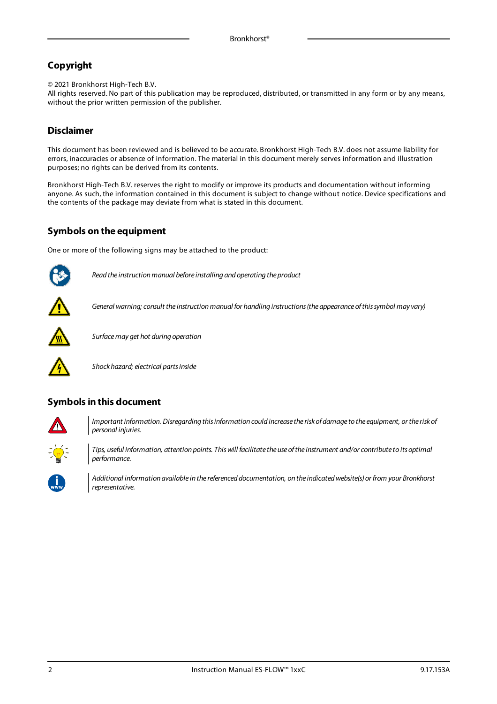# **Copyright**

© 2021 Bronkhorst High-Tech B.V.

All rights reserved. No part of this publication may be reproduced, distributed, or transmitted in any form or by any means, without the prior written permission of the publisher.

# **Disclaimer**

This document has been reviewed and is believed to be accurate. Bronkhorst High-Tech B.V. does not assume liability for errors, inaccuracies or absence of information. The material in this document merely serves information and illustration purposes; no rights can be derived from its contents.

Bronkhorst High-Tech B.V. reserves the right to modify or improve its products and documentation without informing anyone. As such, the information contained in this document is subject to change without notice. Device specifications and the contents of the package may deviate from what is stated in this document.

# **Symbols on the equipment**

One or more of the following signs may be attached to the product:



Read the instruction manual before installing and operating the product



General warning; consult the instruction manual for handling instructions (the appearance of this symbol may vary)



Surface may get hot during operation



Shock hazard; electrical parts inside

# **Symbols in this document**



Important information. Disregarding this information could increase the risk of damage to the equipment, or the risk of personal injuries.



Tips, useful information, attention points. This will facilitate the use of the instrument and/or contribute to its optimal performance.



Additional information available in the referenced documentation, on the indicated website(s) or from your Bronkhorst representative.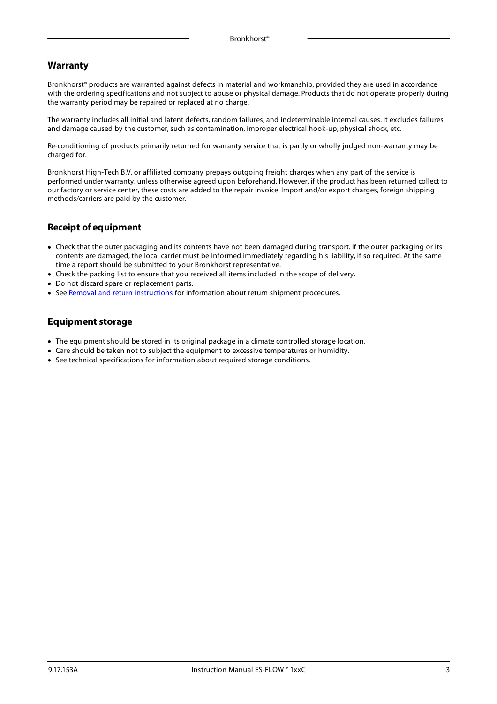## **Warranty**

Bronkhorst® products are warranted against defects in material and workmanship, provided they are used in accordance with the ordering specifications and not subject to abuse or physical damage. Products that do not operate properly during the warranty period may be repaired or replaced at no charge.

The warranty includes all initial and latent defects, random failures, and indeterminable internal causes. It excludes failures and damage caused by the customer, such as contamination, improper electrical hook-up, physical shock, etc.

Re-conditioning of products primarily returned for warranty service that is partly or wholly judged non-warranty may be charged for.

Bronkhorst High-Tech B.V. or affiliated company prepays outgoing freight charges when any part of the service is performed under warranty, unless otherwise agreed upon beforehand. However, if the product has been returned collect to our factory or service center, these costs are added to the repair invoice. Import and/or export charges, foreign shipping methods/carriers are paid by the customer.

# **Receipt of equipment**

- · Check that the outer packaging and its contents have not been damaged during transport. If the outer packaging or its contents are damaged, the local carrier must be informed immediately regarding his liability, if so required. At the same time a report should be submitted to your Bronkhorst representative.
- · Check the packing list to ensure that you received all items included in the scope of delivery.
- · Do not discard spare or replacement parts.
- See [Removal and return instructions](#page-39-0) for information about return shipment procedures.

# **Equipment storage**

- · The equipment should be stored in its original package in a climate controlled storage location.
- · Care should be taken not to subject the equipment to excessive temperatures or humidity.
- · See technical specifications for information about required storage conditions.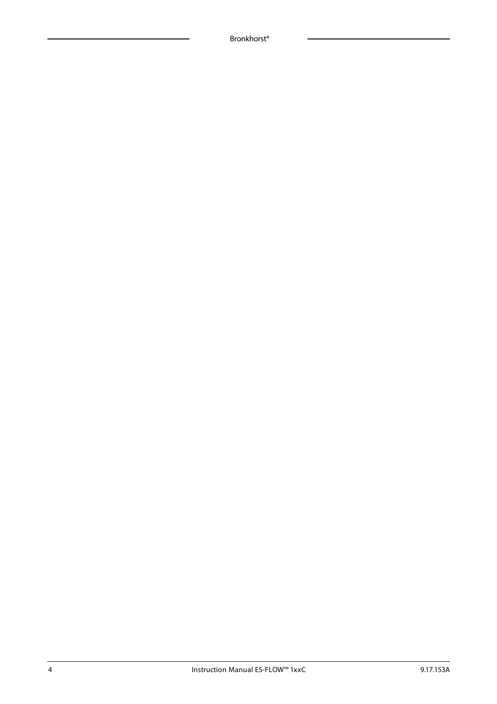Bronkhorst®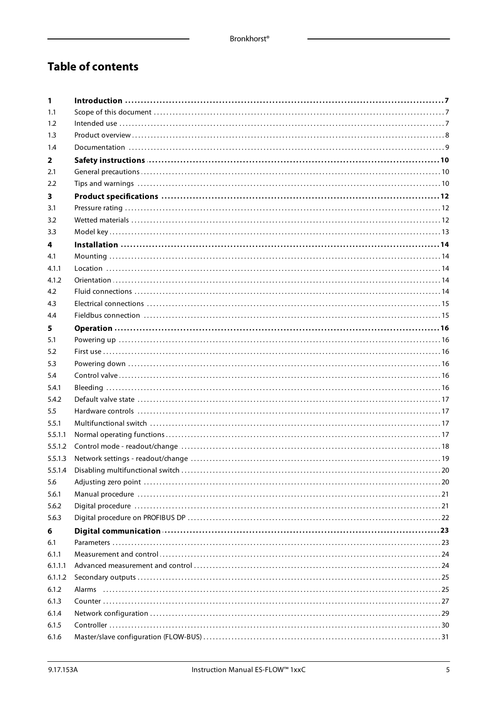# **Table of contents**

| 1            |  |
|--------------|--|
| 1.1          |  |
| 1.2          |  |
| 1.3          |  |
| 1.4          |  |
| $\mathbf{2}$ |  |
| 2.1          |  |
| 2.2          |  |
| 3            |  |
| 3.1          |  |
| 3.2          |  |
| 3.3          |  |
| 4            |  |
| 4.1          |  |
| 4.1.1        |  |
| 4.1.2        |  |
| 4.2          |  |
| 4.3          |  |
| 4.4          |  |
| 5            |  |
| 5.1          |  |
| 5.2          |  |
| 5.3          |  |
| 5.4          |  |
| 5.4.1        |  |
| 5.4.2        |  |
| 5.5          |  |
| 5.5.1        |  |
| 5.5.1.1      |  |
| 5.5.1.2      |  |
| 5.5.1.3      |  |
|              |  |
| 5.6          |  |
| 5.6.1        |  |
| 5.6.2        |  |
| 5.6.3        |  |
| 6            |  |
| 6.1          |  |
| 6.1.1        |  |
| 6.1.1.1      |  |
| 6.1.1.2      |  |
| 6.1.2        |  |
| 6.1.3        |  |
| 6.1.4        |  |
| 6.1.5        |  |
| 6.1.6        |  |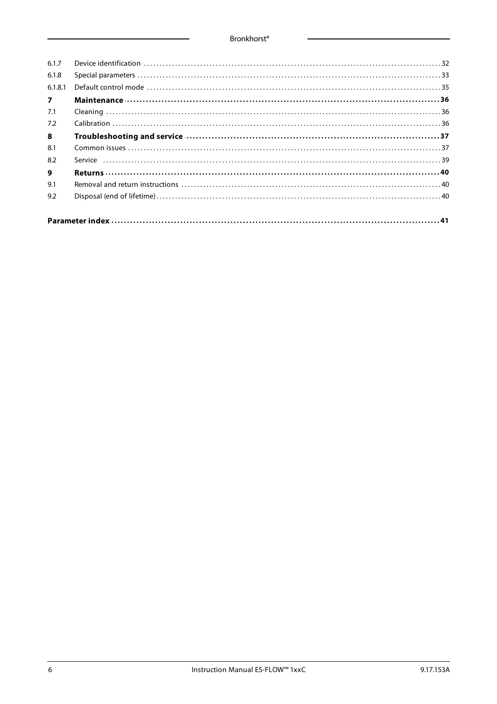| 6.1.7          |  |
|----------------|--|
| 6.1.8          |  |
| 6.1.8.1        |  |
| $\overline{7}$ |  |
| 7.1            |  |
| 7.2            |  |
| 8              |  |
| 8.1            |  |
| 8.2            |  |
| 9              |  |
| 9.1            |  |
| 9.2            |  |
|                |  |
|                |  |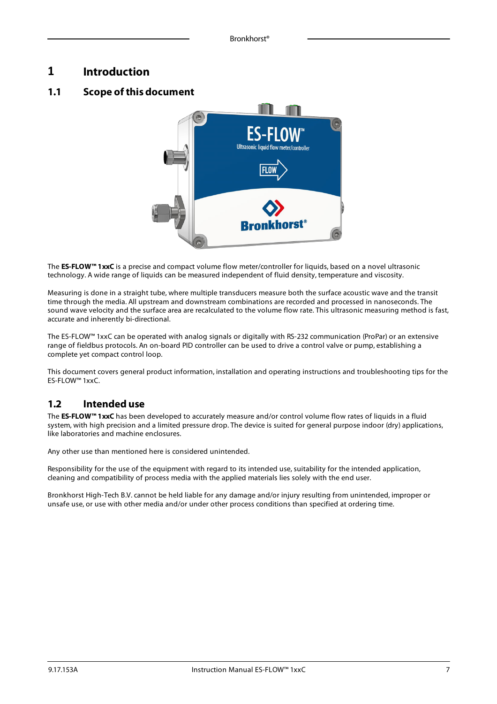# <span id="page-6-0"></span>**1 Introduction**

# **1.1 Scope of this document**



The **ES-FLOW™ 1xxC** is a precise and compact volume flow meter/controller for liquids, based on a novel ultrasonic technology. A wide range of liquids can be measured independent of fluid density, temperature and viscosity.

Measuring is done in a straight tube, where multiple transducers measure both the surface acoustic wave and the transit time through the media. All upstream and downstream combinations are recorded and processed in nanoseconds. The sound wave velocity and the surface area are recalculated to the volume flow rate. This ultrasonic measuring method is fast, accurate and inherently bi-directional.

The ES-FLOW™ 1xxC can be operated with analog signals or digitally with RS-232 communication (ProPar) or an extensive range of fieldbus protocols. An on-board PID controller can be used to drive a control valve or pump, establishing a complete yet compact control loop.

This document covers general product information, installation and operating instructions and troubleshooting tips for the ES-FLOW™ 1xxC.

# <span id="page-6-1"></span>**1.2 Intended use**

The **ES-FLOW™ 1xxC** has been developed to accurately measure and/or control volume flow rates of liquids in a fluid system, with high precision and a limited pressure drop. The device is suited for general purpose indoor (dry) applications, like laboratories and machine enclosures.

Any other use than mentioned here is considered unintended.

Responsibility for the use of the equipment with regard to its intended use, suitability for the intended application, cleaning and compatibility of process media with the applied materials lies solely with the end user.

Bronkhorst High-Tech B.V. cannot be held liable for any damage and/or injury resulting from unintended, improper or unsafe use, or use with other media and/or under other process conditions than specified at ordering time.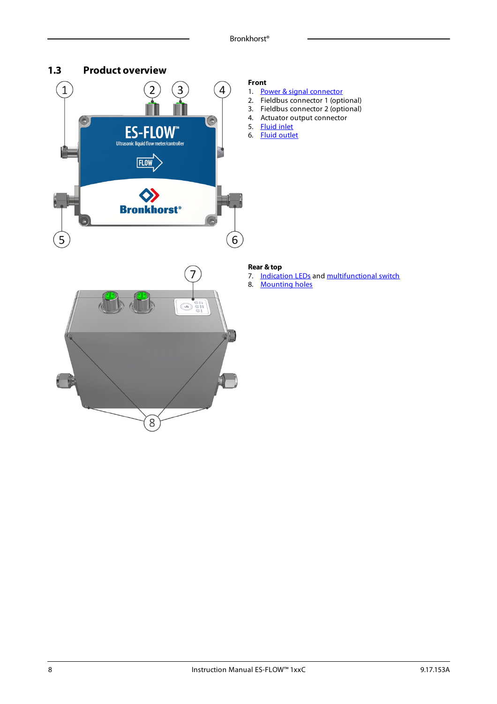# <span id="page-7-0"></span>**1.3 Product overview**



# **Front**

- 1. [Power & signal connector](#page-14-0)
- 2. Fieldbus connector 1 (optional)
- 3. Fieldbus connector 2 (optional)
- 4. Actuator output connector
- 5. <u>[Fluid inlet](#page-13-3)</u>
- 6. <u>Fluid outlet</u>



#### **Rear & top**

- 7. [Indication LEDs](#page-16-1) and [multifunctional switch](#page-16-2)
- 8. [Mounting holes](#page-13-0)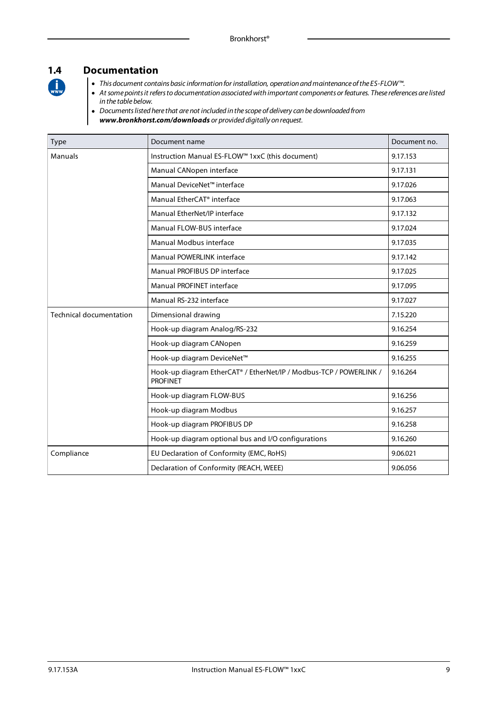# <span id="page-8-0"></span>**1.4 Documentation**

**The Way** 

- · This document contains basic information for installation, operation and maintenance of the ES-FLOW™.
- · At some points it refers to documentation associated with important components or features. These references are listed in the table below.
- · Documents listed here that are not included in the scope of delivery can be downloaded from **www.bronkhorst.com/downloads** or provided digitally on request.

| Type                           | Document name                                                                         | Document no. |
|--------------------------------|---------------------------------------------------------------------------------------|--------------|
| Manuals                        | Instruction Manual ES-FLOW™ 1xxC (this document)                                      | 9.17.153     |
|                                | Manual CANopen interface                                                              | 9.17.131     |
|                                | Manual DeviceNet™ interface                                                           | 9.17.026     |
|                                | Manual EtherCAT <sup>®</sup> interface                                                | 9.17.063     |
|                                | Manual EtherNet/IP interface                                                          | 9.17.132     |
|                                | Manual FLOW-BUS interface                                                             | 9.17.024     |
|                                | Manual Modbus interface                                                               | 9.17.035     |
|                                | <b>Manual POWERLINK interface</b>                                                     | 9.17.142     |
|                                | Manual PROFIBUS DP interface                                                          | 9.17.025     |
|                                | <b>Manual PROFINET interface</b>                                                      | 9.17.095     |
|                                | Manual RS-232 interface                                                               | 9.17.027     |
| <b>Technical documentation</b> | Dimensional drawing                                                                   | 7.15.220     |
|                                | Hook-up diagram Analog/RS-232                                                         | 9.16.254     |
|                                | Hook-up diagram CANopen                                                               | 9.16.259     |
|                                | Hook-up diagram DeviceNet™                                                            | 9.16.255     |
|                                | Hook-up diagram EtherCAT® / EtherNet/IP / Modbus-TCP / POWERLINK /<br><b>PROFINET</b> | 9.16.264     |
|                                | Hook-up diagram FLOW-BUS                                                              | 9.16.256     |
|                                | Hook-up diagram Modbus                                                                | 9.16.257     |
|                                | Hook-up diagram PROFIBUS DP                                                           | 9.16.258     |
|                                | Hook-up diagram optional bus and I/O configurations                                   | 9.16.260     |
| Compliance                     | EU Declaration of Conformity (EMC, RoHS)                                              | 9.06.021     |
|                                | Declaration of Conformity (REACH, WEEE)                                               | 9.06.056     |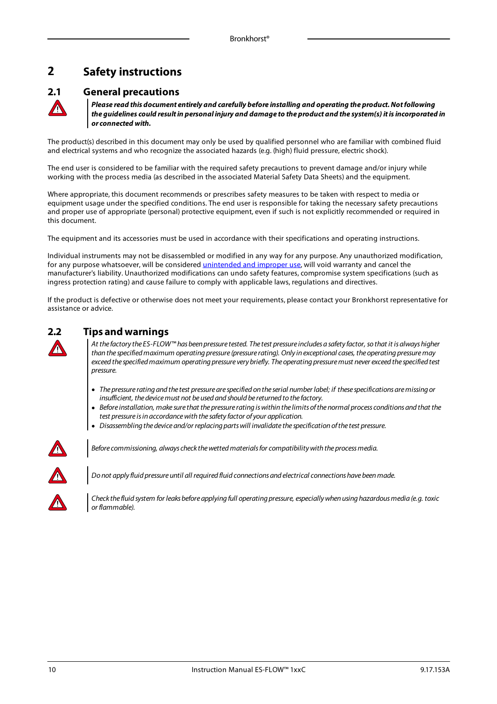# <span id="page-9-0"></span>**2 Safety instructions**

# **2.1 General precautions**

**Please read this document entirely and carefully before installing and operating the product. Not following the guidelines could result in personal injury and damage to the product and the system(s) it is incorporated in or connected with.**

The product(s) described in this document may only be used by qualified personnel who are familiar with combined fluid and electrical systems and who recognize the associated hazards (e.g. (high) fluid pressure, electric shock).

The end user is considered to be familiar with the required safety precautions to prevent damage and/or injury while working with the process media (as described in the associated Material Safety Data Sheets) and the equipment.

Where appropriate, this document recommends or prescribes safety measures to be taken with respect to media or equipment usage under the specified conditions. The end user is responsible for taking the necessary safety precautions and proper use of appropriate (personal) protective equipment, even if such is not explicitly recommended or required in this document.

The equipment and its accessories must be used in accordance with their specifications and operating instructions.

Individual instruments may not be disassembled or modified in any way for any purpose. Any unauthorized modification, for any purpose whatsoever, will be considered [unintended and improper use](#page-6-1), will void warranty and cancel the manufacturer's liability. Unauthorized modifications can undo safety features, compromise system specifications (such as ingress protection rating) and cause failure to comply with applicable laws, regulations and directives.

If the product is defective or otherwise does not meet your requirements, please contact your Bronkhorst representative for assistance or advice.



# <span id="page-9-1"></span>**2.2 Tips and warnings**

At the factory the ES-FLOW™ has been pressure tested. The test pressure includes a safety factor, so that it is always higher than the specified maximum operating pressure (pressure rating). Only in exceptional cases, the operating pressure may exceed the specified maximum operating pressure very briefly. The operating pressure must never exceed the specified test pressure.

- · The pressure rating and the test pressure are specified on the serial number label; if these specifications are missing or insufficient, the device must not be used and should be returned to the factory.
- · Before installation, make sure that the pressure rating is within the limits of the normal process conditions and that the test pressure is in accordance with the safety factor of your application.
- · Disassembling the device and/or replacing parts will invalidate the specification of the test pressure.



Before commissioning, always check the wetted materials for compatibility with the process media.



Do not apply fluid pressure until all required fluid connections and electrical connections have been made.



Check the fluid system for leaks before applying full operating pressure, especially when using hazardous media (e.g. toxic or flammable).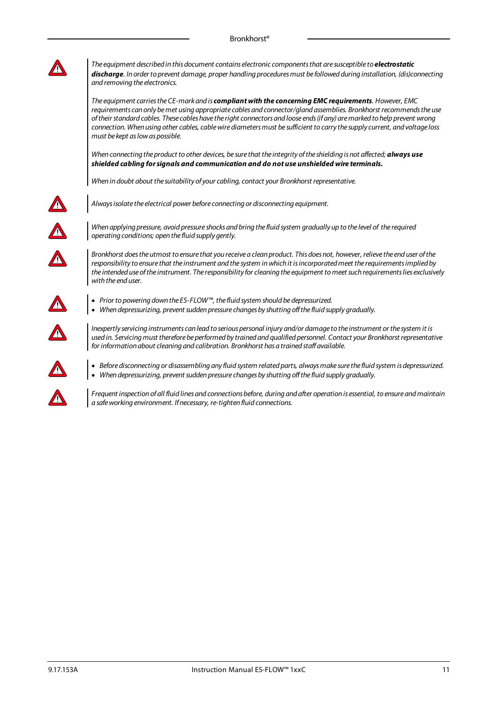

The equipment described in this document contains electronic components that are susceptible to **electrostatic discharge**. In order to prevent damage, proper handling procedures must be followed during installation, (dis)connecting and removing the electronics.

The equipment carries the CE-mark and is **compliant with the concerning EMC requirements**. However, EMC requirements can only be met using appropriate cables and connector/gland assemblies. Bronkhorst recommends the use of their standard cables. These cables have the right connectors and loose ends (if any) are marked to help prevent wrong connection. When using other cables, cable wire diameters must be sufficient to carry the supply current, and voltage loss must be kept as low as possible.

When connecting the product to other devices, be sure that the integrity of the shielding is not affected; **always use shielded cabling for signals and communication and do not use unshielded wire terminals.**

When in doubt about the suitability of your cabling, contact your Bronkhorst representative.



Always isolate the electrical power before connecting or disconnecting equipment.



When applying pressure, avoid pressure shocks and bring the fluid system gradually up to the level of the required operating conditions; open the fluid supply gently.



Bronkhorst does the utmost to ensure that you receive a clean product. This does not, however, relieve the end user of the responsibility to ensure that the instrument and the system in which it is incorporated meet the requirements implied by the intended use of the instrument. The responsibility for cleaning the equipment to meet such requirements lies exclusively with the end user.





·When depressurizing, prevent sudden pressure changes by shutting off the fluid supply gradually.



Inexpertly servicing instruments can lead to serious personal injury and/or damage to the instrument or the system it is used in. Servicing must therefore be performed by trained and qualified personnel. Contact your Bronkhorst representative for information about cleaning and calibration. Bronkhorst has a trained staff available.



· Before disconnecting or disassembling any fluid system related parts, always make sure the fluid system is depressurized. ·When depressurizing, prevent sudden pressure changes by shutting off the fluid supply gradually.



Frequent inspection of all fluid lines and connections before, during and after operation is essential, to ensure and maintain a safe working environment. If necessary, re-tighten fluid connections.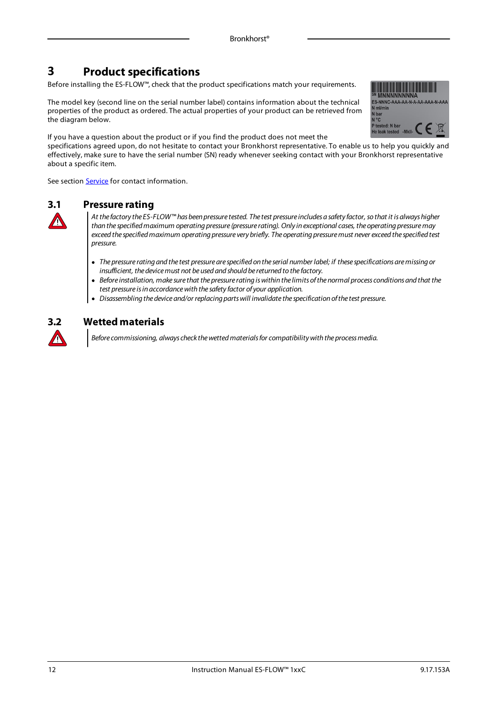# <span id="page-11-0"></span>**3 Product specifications**

Before installing the ES-FLOW™, check that the product specifications match your requirements.

The model key (second line on the serial number label) contains information about the technical properties of the product as ordered. The actual properties of your product can be retrieved from the diagram below.

If you have a question about the product or if you find the product does not meet the

specifications agreed upon, do not hesitate to contact your Bronkhorst representative. To enable us to help you quickly and effectively, make sure to have the serial number (SN) ready whenever seeking contact with your Bronkhorst representative about a specific item.

See section [Service](#page-38-0) for contact information.

# <span id="page-11-1"></span>**3.1 Pressure rating**

At the factory the ES-FLOW™ has been pressure tested. The test pressure includes a safety factor, so that it is always higher than the specified maximum operating pressure (pressure rating). Only in exceptional cases, the operating pressure may exceed the specified maximum operating pressure very briefly. The operating pressure must never exceed the specified test pressure.

- · The pressure rating and the test pressure are specified on the serial number label; if these specifications are missing or insufficient, the device must not be used and should be returned to the factory.
- · Before installation, make sure that the pressure rating is within the limits of the normal process conditions and that the test pressure is in accordance with the safety factor of your application.
- ·Disassembling the device and/or replacing parts will invalidate the specification of the test pressure.



# <span id="page-11-2"></span>**3.2 Wetted materials**

Before commissioning, always check the wetted materials for compatibility with the process media.

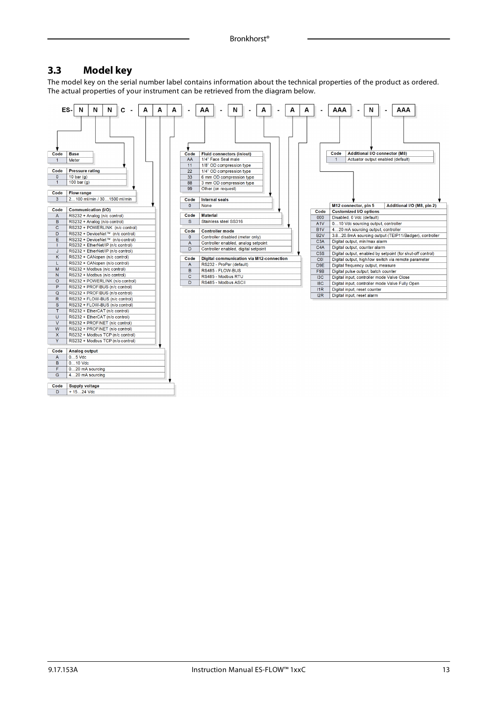# <span id="page-12-0"></span>**3.3 Model key**

RS232 + PROFINET (n/o control)

RS232 + Modbus TCP (n/c control)

RS232 + Modbus TCP (n/o control)

W

 $\overline{\mathbf{x}}$  $\overline{Y}$ 

 $\overline{A}$  $\overline{R}$ 

 $\overline{G}$ 

Code Analog output  $0...5$  Vdc

 $\boxed{0...10 \text{ Vdc}}$  $0...20$  mA sourcing 4...20 mA sourcing

Code Supply voltage

The model key on the serial number label contains information about the technical properties of the product as ordered. The actual properties of your instrument can be retrieved from the diagram below.

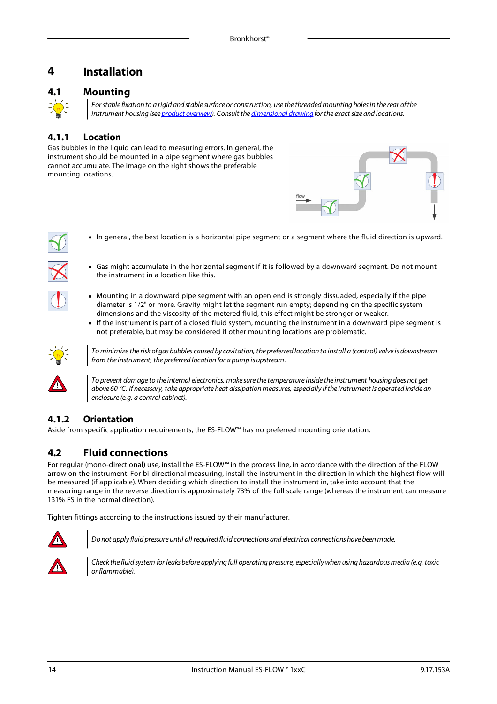# <span id="page-13-0"></span>**4 Installation**

# **4.1 Mounting**

For stable fixation to a rigid and stable surface or construction, use the threaded mounting holes in the rear of the instrument housing (see [product overview\)](#page-7-0). Consult the [dimensional drawing](#page-8-0) for the exact size and locations.

# <span id="page-13-1"></span>**4.1.1 Location**

Gas bubbles in the liquid can lead to measuring errors. In general, the instrument should be mounted in a pipe segment where gas bubbles cannot accumulate. The image on the right shows the preferable mounting locations.





- · In general, the best location is a horizontal pipe segment or a segment where the fluid direction is upward.
- · Gas might accumulate in the horizontal segment if it is followed by a downward segment. Do not mount the instrument in a location like this.
- Mounting in a downward pipe segment with an **open end** is strongly dissuaded, especially if the pipe diameter is 1/2" or more. Gravity might let the segment run empty; depending on the specific system dimensions and the viscosity of the metered fluid, this effect might be stronger or weaker.
- · If the instrument is part of a closed fluid system, mounting the instrument in a downward pipe segment is not preferable, but may be considered if other mounting locations are problematic.



To minimize the risk of gas bubbles caused by cavitation, the preferred location to install a (control) valve is downstream from the instrument, the preferred location for a pump is upstream.



To prevent damage to the internal electronics, make sure the temperature inside the instrument housing does not get above 60 °C. If necessary, take appropriate heat dissipation measures, especially if the instrument is operated inside an enclosure (e.g. a control cabinet).

# <span id="page-13-2"></span>**4.1.2 Orientation**

Aside from specific application requirements, the ES-FLOW™ has no preferred mounting orientation.

# <span id="page-13-3"></span>**4.2 Fluid connections**

For regular (mono-directional) use, install the ES-FLOW™ in the process line, in accordance with the direction of the FLOW arrow on the instrument. For bi-directional measuring, install the instrument in the direction in which the highest flow will be measured (if applicable). When deciding which direction to install the instrument in, take into account that the measuring range in the reverse direction is approximately 73% of the full scale range (whereas the instrument can measure 131% FS in the normal direction).

Tighten fittings according to the instructions issued by their manufacturer.



Do not apply fluid pressure until all required fluid connections and electrical connections have been made.



Check the fluid system for leaks before applying full operating pressure, especially when using hazardous media (e.g. toxic or flammable).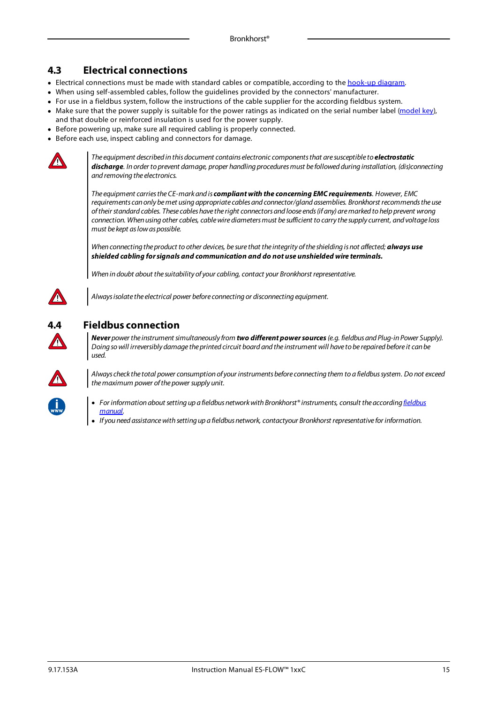# <span id="page-14-0"></span>**4.3 Electrical connections**

- Electrical connections must be made with standard cables or compatible, according to the **hook-up diagram**.
- When using self-assembled cables, follow the guidelines provided by the connectors' manufacturer.
- For use in a fieldbus system, follow the instructions of the cable supplier for the according fieldbus system.<br>• Make sure that the power supply is suitable for the power ratings as indicated on the social number label (
- Make sure that the power supply is suitable for the power ratings as indicated on the serial number label ([model key](#page-12-0)), and that double or reinforced insulation is used for the power supply.
- Before powering up, make sure all required cabling is properly connected.<br>• Before powering up, make sure all required cabling is properly connected.
- Before each use, inspect cabling and connectors for damage.



The equipment described in this document contains electronic components that are susceptible to **electrostatic discharge**. In order to prevent damage, proper handling procedures must be followed during installation, (dis)connecting and removing the electronics.

The equipment carries the CE-mark and is **compliant with the concerning EMC requirements**. However, EMC requirements can only be met using appropriate cables and connector/gland assemblies. Bronkhorst recommends the use of their standard cables. These cables have the right connectors and loose ends (if any) are marked to help prevent wrong connection. When using other cables, cable wire diameters must be sufficient to carry the supply current, and voltage loss must be kept as low as possible.

When connecting the product to other devices, be sure that the integrity of the shielding is not affected; **always use shielded cabling for signals and communication and do not use unshielded wire terminals.**

When in doubt about the suitability of your cabling, contact your Bronkhorst representative.



Always isolate the electrical power before connecting or disconnecting equipment.



# <span id="page-14-1"></span>**4.4 Fieldbus connection**

**Never** power the instrument simultaneously from **two different power sources** (e.g. fieldbus and Plug-in Power Supply). Doing so will irreversibly damage the printed circuit board and the instrument will have to be repaired before it can be used.



Always check the total power consumption of your instruments before connecting them to a fieldbus system. Do not exceed the maximum power of the power supply unit.

- 
- · For information about setting up a fieldbus network with Bronkhorst® instruments, consult the according [fieldbus](#page-8-0) [manual](#page-8-0).
- ·If you need assistance with setting up a fieldbus network, contactyour Bronkhorst representative for information.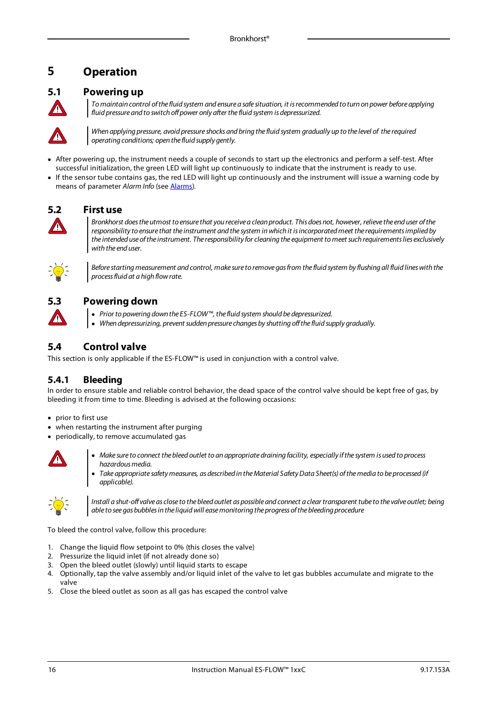# <span id="page-15-0"></span>**5 Operation**

# **5.1 Powering up**

To maintain control of the fluid system and ensure a safe situation, it is recommended to turn on power before applying fluid pressure and to switch off power only after the fluid system is depressurized.



When applying pressure, avoid pressure shocks and bring the fluid system gradually up to the level of the required operating conditions; open the fluid supply gently.

- · After powering up, the instrument needs a couple of seconds to start up the electronics and perform a self-test. After successful initialization, the green LED will light up continuously to indicate that the instrument is ready to use.
- · If the sensor tube contains gas, the red LED will light up continuously and the instrument will issue a warning code by means of parameter Alarm Info (see [Alarms](#page-24-1)).



# <span id="page-15-1"></span>**5.2 First use**

Bronkhorst does the utmost to ensure that you receive a clean product. This does not, however, relieve the end user of the responsibility to ensure that the instrument and the system in which it is incorporated meet the requirements implied by the intended use of the instrument. The responsibility for cleaning the equipment to meet such requirements lies exclusively with the end user.



Before starting measurement and control, make sure to remove gas from the fluid system by flushing all fluid lines with the process fluid at a high flow rate.



# <span id="page-15-2"></span>**5.3 Powering down**

- · Prior to powering down the ES-FLOW™, the fluid system should be depressurized.
- ·When depressurizing, prevent sudden pressure changes by shutting off the fluid supply gradually.

# <span id="page-15-3"></span>**5.4 Control valve**

This section is only applicable if the ES-FLOW™ is used in conjunction with a control valve.

# <span id="page-15-4"></span>**5.4.1 Bleeding**

In order to ensure stable and reliable control behavior, the dead space of the control valve should be kept free of gas, by bleeding it from time to time. Bleeding is advised at the following occasions:

- · prior to first use
- when restarting the instrument after purging
- periodically, to remove accumulated gas



- · Make sure to connect the bleed outlet to an appropriate draining facility, especially if the system is used to process hazardous media.
- · Take appropriate safety measures, as described in the Material Safety Data Sheet(s) of the media to be processed (if applicable).



Install a shut-off valve as close to the bleed outlet as possible and connect a clear transparent tube to the valve outlet; being able to see gas bubbles in the liquid will ease monitoring the progress of the bleeding procedure

To bleed the control valve, follow this procedure:

- 1. Change the liquid flow setpoint to 0% (this closes the valve)
- 2. Pressurize the liquid inlet (if not already done so)
- 3. Open the bleed outlet (slowly) until liquid starts to escape
- 4. Optionally, tap the valve assembly and/or liquid inlet of the valve to let gas bubbles accumulate and migrate to the valve
- 5. Close the bleed outlet as soon as all gas has escaped the control valve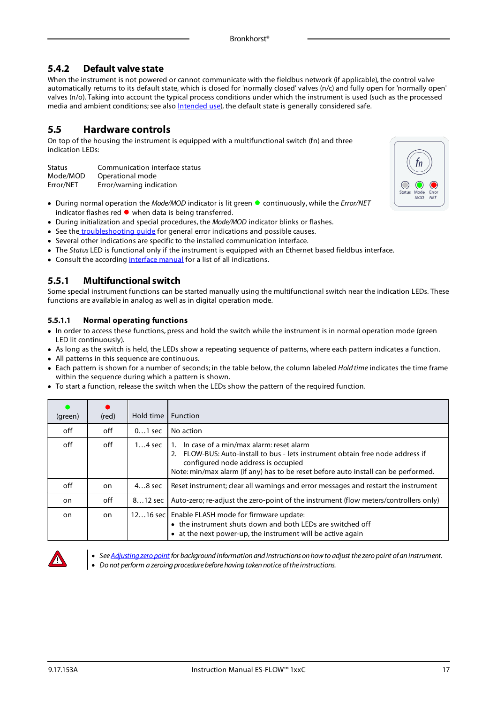# <span id="page-16-0"></span>**5.4.2 Default valve state**

When the instrument is not powered or cannot communicate with the fieldbus network (if applicable), the control valve automatically returns to its default state, which is closed for 'normally closed' valves (n/c) and fully open for 'normally open' valves (n/o). Taking into account the typical process conditions under which the instrument is used (such as the processed media and ambient conditions; see also [Intended use](#page-6-1)), the default state is generally considered safe.

# <span id="page-16-1"></span>**5.5 Hardware controls**

On top of the housing the instrument is equipped with a multifunctional switch (fn) and three indication LEDs:

Status Communication interface status Mode/MOD Operational mode Error/NET Error/warning indication

- During normal operation the Mode/MOD indicator is lit green continuously, while the Error/NET indicator flashes red  $\bullet$  when data is being transferred.
- · During initialization and special procedures, the Mode/MOD indicator blinks or flashes.
- See th[e troubleshooting guide](#page-36-1) for general error indications and possible causes.
- Several other indications are specific to the installed communication interface.
- The Status LED is functional only if the instrument is equipped with an Ethernet based fieldbus interface.
- Consult the according [interface manual](#page-8-0) for a list of all indications.

# <span id="page-16-2"></span>**5.5.1 Multifunctional switch**

Some special instrument functions can be started manually using the multifunctional switch near the indication LEDs. These functions are available in analog as well as in digital operation mode.

# <span id="page-16-3"></span>**5.5.1.1 Normal operating functions**

- · In order to access these functions, press and hold the switch while the instrument is in normal operation mode (green LED lit continuously).
- Let the commedably.<br>• As long as the switch is held, the LEDs show a repeating sequence of patterns, where each pattern indicates a function.
- All patterns in this sequence are continuous.
- Each pattern is shown for a number of seconds; in the table below, the column labeled *Hold time* indicates the time frame within the sequence during which a pattern is shown.
- · To start a function, release the switch when the LEDs show the pattern of the required function.

| (green) | (red) | Hold time | <b>Function</b>                                                                                                                                                                                                                                        |  |  |
|---------|-------|-----------|--------------------------------------------------------------------------------------------------------------------------------------------------------------------------------------------------------------------------------------------------------|--|--|
| off     | off   | $01$ sec  | No action                                                                                                                                                                                                                                              |  |  |
| off     | off   | $14$ sec  | In case of a min/max alarm: reset alarm<br>2. FLOW-BUS: Auto-install to bus - lets instrument obtain free node address if<br>configured node address is occupied<br>Note: min/max alarm (if any) has to be reset before auto install can be performed. |  |  |
| off     | on    | $48$ sec  | Reset instrument; clear all warnings and error messages and restart the instrument                                                                                                                                                                     |  |  |
| on.     | off   | $812$ sec | Auto-zero; re-adjust the zero-point of the instrument (flow meters/controllers only)                                                                                                                                                                   |  |  |
| on.     | on    |           | 1216 sec   Enable FLASH mode for firmware update:<br>• the instrument shuts down and both LEDs are switched off<br>• at the next power-up, the instrument will be active again                                                                         |  |  |



• See [Adjusting zero point](#page-19-1) for background information and instructions on how to adjust the zero point of an instrument.

• Do not perform a zeroing procedure before having taken notice of the instructions.

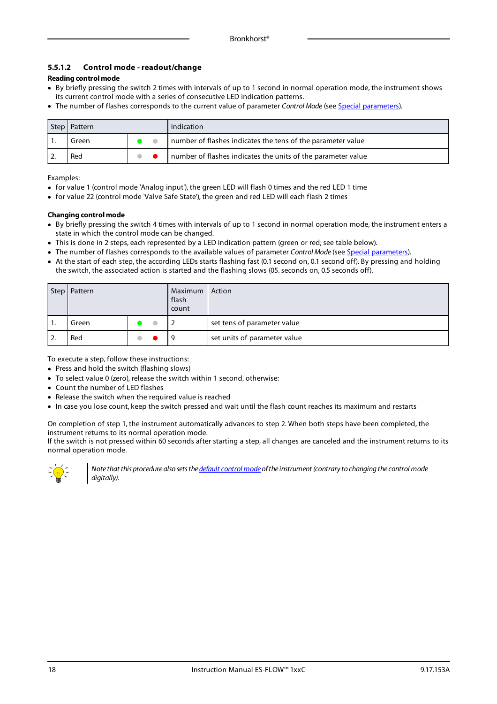## <span id="page-17-0"></span>**5.5.1.2 Control mode - readout/change**

### **Reading control mode**

- By briefly pressing the switch 2 times with intervals of up to 1 second in normal operation mode, the instrument shows its current control mode with a series of consecutive LED indication patterns.
- The number of flashes corresponds to the current value of parameter Control Mode (see [Special parameters\)](#page-33-0).

| Step   Pattern |  |  | Indication                                                   |
|----------------|--|--|--------------------------------------------------------------|
| Green          |  |  | number of flashes indicates the tens of the parameter value  |
| Red            |  |  | number of flashes indicates the units of the parameter value |

Examples:

- · for value 1 (control mode 'Analog input'), the green LED will flash 0 times and the red LED 1 time
- · for value 22 (control mode 'Valve Safe State'), the green and red LED will each flash 2 times

### **Changing control mode**

- · By briefly pressing the switch 4 times with intervals of up to 1 second in normal operation mode, the instrument enters a state in which the control mode can be changed.
- · This is done in 2 steps, each represented by a LED indication pattern (green or red; see table below).
- The number of flashes corresponds to the available values of parameter Control Mode (see [Special parameters](#page-33-0)).
- At the start of each step, the according LEDs starts flashing fast (0.1 second on, 0.1 second off). By pressing and holding the switch, the associated action is started and the flashing slows (05. seconds on, 0.5 seconds off).

|     | Step   Pattern |    | Maximum<br>flash<br>count | Action |                              |
|-----|----------------|----|---------------------------|--------|------------------------------|
| . . | Green          | D. |                           |        | set tens of parameter value  |
|     | Red            |    |                           |        | set units of parameter value |

To execute a step, follow these instructions:

- · Press and hold the switch (flashing slows)
- · To select value 0 (zero), release the switch within 1 second, otherwise:
- · Count the number of LED flashes
- Release the switch when the required value is reached
- · In case you lose count, keep the switch pressed and wait until the flash count reaches its maximum and restarts

On completion of step 1, the instrument automatically advances to step 2. When both steps have been completed, the instrument returns to its normal operation mode.

If the switch is not pressed within 60 seconds after starting a step, all changes are canceled and the instrument returns to its normal operation mode.



Note that this procedure also sets the [default control mode](#page-34-0) of the instrument (contrary to changing the control mode digitally).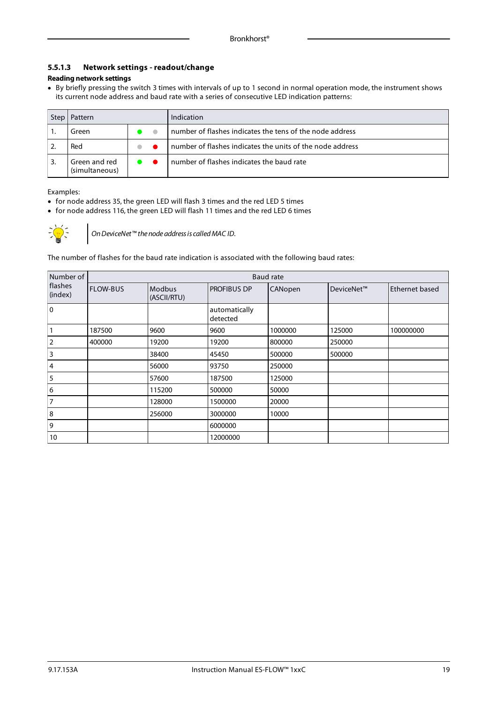## <span id="page-18-0"></span>**5.5.1.3 Network settings - readout/change**

## **Reading network settings**

· By briefly pressing the switch 3 times with intervals of up to 1 second in normal operation mode, the instrument shows its current node address and baud rate with a series of consecutive LED indication patterns:

| Step | Pattern                         |  |                     | Indication                                                |
|------|---------------------------------|--|---------------------|-----------------------------------------------------------|
|      | $\bullet\quad\bullet$<br>Green  |  |                     | number of flashes indicates the tens of the node address  |
|      | Red                             |  |                     | number of flashes indicates the units of the node address |
| -3.  | Green and red<br>(simultaneous) |  | $\bullet$ $\bullet$ | number of flashes indicates the baud rate                 |

Examples:

- · for node address 35, the green LED will flash 3 times and the red LED 5 times
- · for node address 116, the green LED will flash 11 times and the red LED 6 times



On DeviceNet™ the node address is called MAC ID.

The number of flashes for the baud rate indication is associated with the following baud rates:

| Number of          | <b>Baud rate</b> |                       |                           |         |            |                |  |  |  |
|--------------------|------------------|-----------------------|---------------------------|---------|------------|----------------|--|--|--|
| flashes<br>(index) | <b>FLOW-BUS</b>  | Modbus<br>(ASCII/RTU) | <b>PROFIBUS DP</b>        | CANopen | DeviceNet™ | Ethernet based |  |  |  |
| $\overline{0}$     |                  |                       | automatically<br>detected |         |            |                |  |  |  |
|                    | 187500           | 9600                  | 9600                      | 1000000 | 125000     | 100000000      |  |  |  |
| $\overline{2}$     | 400000           | 19200                 | 19200                     | 800000  | 250000     |                |  |  |  |
| 3                  |                  | 38400                 | 45450                     | 500000  | 500000     |                |  |  |  |
| $\overline{4}$     |                  | 56000                 | 93750                     | 250000  |            |                |  |  |  |
| 5                  |                  | 57600                 | 187500                    | 125000  |            |                |  |  |  |
| 6                  |                  | 115200                | 500000                    | 50000   |            |                |  |  |  |
| 7                  |                  | 128000                | 1500000                   | 20000   |            |                |  |  |  |
| 8                  |                  | 256000                | 3000000                   | 10000   |            |                |  |  |  |
| 9                  |                  |                       | 6000000                   |         |            |                |  |  |  |
| 10                 |                  |                       | 12000000                  |         |            |                |  |  |  |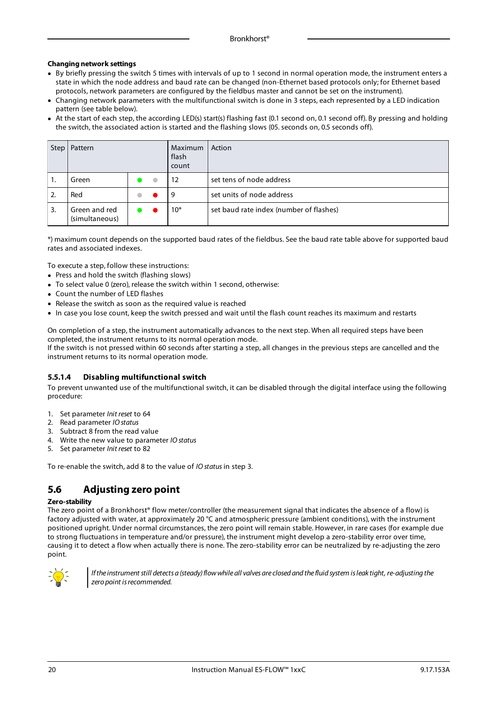### **Changing network settings**

- · By briefly pressing the switch 5 times with intervals of up to 1 second in normal operation mode, the instrument enters a state in which the node address and baud rate can be changed (non-Ethernet based protocols only; for Ethernet based protocols, network parameters are configured by the fieldbus master and cannot be set on the instrument).
- · Changing network parameters with the multifunctional switch is done in 3 steps, each represented by a LED indication pattern (see table below).
- · At the start of each step, the according LED(s) start(s) flashing fast (0.1 second on, 0.1 second off). By pressing and holding the switch, the associated action is started and the flashing slows (05. seconds on, 0.5 seconds off).

| Step | Pattern                                |  |       | Maximum<br>flash<br>count               | Action                    |
|------|----------------------------------------|--|-------|-----------------------------------------|---------------------------|
| ι.   | Green                                  |  |       | 12                                      | set tens of node address  |
| 2.   | Red                                    |  |       | 9                                       | set units of node address |
| 3.   | Green and red<br>. .<br>(simultaneous) |  | $10*$ | set baud rate index (number of flashes) |                           |

\*) maximum count depends on the supported baud rates of the fieldbus. See the baud rate table above for supported baud rates and associated indexes.

To execute a step, follow these instructions:

- · Press and hold the switch (flashing slows)
- · To select value 0 (zero), release the switch within 1 second, otherwise:
- · Count the number of LED flashes
- Release the switch as soon as the required value is reached
- · In case you lose count, keep the switch pressed and wait until the flash count reaches its maximum and restarts

On completion of a step, the instrument automatically advances to the next step. When all required steps have been completed, the instrument returns to its normal operation mode.

If the switch is not pressed within 60 seconds after starting a step, all changes in the previous steps are cancelled and the instrument returns to its normal operation mode.

### <span id="page-19-0"></span>**5.5.1.4 Disabling multifunctional switch**

To prevent unwanted use of the multifunctional switch, it can be disabled through the digital interface using the following procedure:

- 1. Set parameter Init reset to 64
- 2. Read parameter IO status
- 3. Subtract 8 from the read value
- 4. Write the new value to parameter IO status
- 5. Set parameter Init reset to 82

To re-enable the switch, add 8 to the value of IO status in step 3.

# <span id="page-19-1"></span>**5.6 Adjusting zero point**

#### **Zero-stability**

The zero point of a Bronkhorst® flow meter/controller (the measurement signal that indicates the absence of a flow) is factory adjusted with water, at approximately 20 °C and atmospheric pressure (ambient conditions), with the instrument positioned upright. Under normal circumstances, the zero point will remain stable. However, in rare cases (for example due to strong fluctuations in temperature and/or pressure), the instrument might develop a zero-stability error over time, causing it to detect a flow when actually there is none. The zero-stability error can be neutralized by re-adjusting the zero point.



If the instrument still detects a (steady) flow while all valves are closed and the fluid system is leak tight, re-adjusting the zero point is recommended.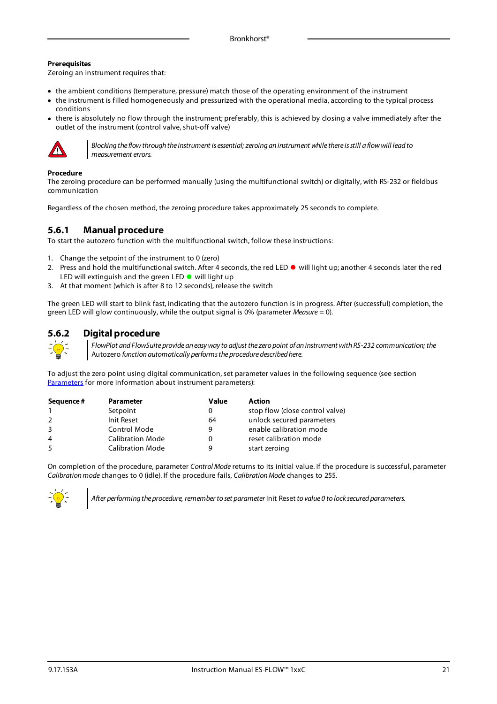### **Prerequisites**

Zeroing an instrument requires that:

- the ambient conditions (temperature, pressure) match those of the operating environment of the instrument<br>• the instrument is filled bemogeneously and pressurized with the operational media according to the typical
- the instrument is filled homogeneously and pressurized with the operational media, according to the typical process conditions
- · there is absolutely no flow through the instrument; preferably, this is achieved by closing a valve immediately after the outlet of the instrument (control valve, shut-off valve)



Blocking the flow through the instrument is essential; zeroing an instrument while there is still a flow will lead to measurement errors.

### **Procedure**

The zeroing procedure can be performed manually (using the multifunctional switch) or digitally, with RS-232 or fieldbus communication

Regardless of the chosen method, the zeroing procedure takes approximately 25 seconds to complete.

# <span id="page-20-0"></span>**5.6.1 Manual procedure**

To start the autozero function with the multifunctional switch, follow these instructions:

- 1. Change the setpoint of the instrument to 0 (zero)
- 2. Press and hold the multifunctional switch. After 4 seconds, the red LED  $\bullet$  will light up; another 4 seconds later the red LED will extinguish and the green LED  $\bullet$  will light up
- 3. At that moment (which is after 8 to 12 seconds), release the switch

The green LED will start to blink fast, indicating that the autozero function is in progress. After (successful) completion, the green LED will glow continuously, while the output signal is 0% (parameter *Measure* = 0).

# <span id="page-20-1"></span>**5.6.2 Digital procedure**



FlowPlot and FlowSuite provide an easy way to adjust the zero point of an instrument with RS-232 communication; the Autozero function automatically performs the procedure described here.

To adjust the zero point using digital communication, set parameter values in the following sequence (see section [Parameters](#page-22-1) for more information about instrument parameters):

| Sequence # | <b>Parameter</b>        | <b>Value</b> | Action                          |
|------------|-------------------------|--------------|---------------------------------|
|            | Setpoint                |              | stop flow (close control valve) |
| 2          | Init Reset              | 64           | unlock secured parameters       |
| 3          | Control Mode            | 9            | enable calibration mode         |
| 4          | <b>Calibration Mode</b> |              | reset calibration mode          |
| 5          | <b>Calibration Mode</b> | q            | start zeroing                   |

On completion of the procedure, parameter Control Mode returns to its initial value. If the procedure is successful, parameter Calibration mode changes to 0 (idle). If the procedure fails, Calibration Mode changes to 255.



After performing the procedure, remember to set parameter Init Reset to value 0 to lock secured parameters.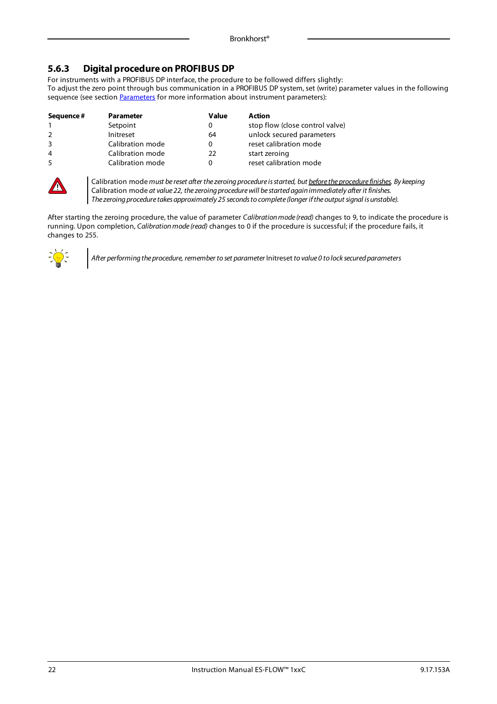# <span id="page-21-0"></span>**5.6.3 Digital procedure on PROFIBUS DP**

For instruments with a PROFIBUS DP interface, the procedure to be followed differs slightly: To adjust the zero point through bus communication in a PROFIBUS DP system, set (write) parameter values in the following sequence (see section **[Parameters](#page-22-1)** for more information about instrument parameters):

| Sequence #     | <b>Parameter</b> | Value | Action                          |
|----------------|------------------|-------|---------------------------------|
|                | Setpoint         | 0     | stop flow (close control valve) |
| 2              | Initreset        | 64    | unlock secured parameters       |
| 3              | Calibration mode | 0     | reset calibration mode          |
| $\overline{4}$ | Calibration mode | 22    | start zeroing                   |
| 5              | Calibration mode |       | reset calibration mode          |



Calibration mode must be reset after the zeroing procedure is started, but before the procedure finishes. By keeping Calibration mode at value 22, the zeroing procedure will be started again immediately after it finishes. The zeroing procedure takes approximately 25 seconds to complete (longer if the output signal is unstable).

After starting the zeroing procedure, the value of parameter Calibration mode (read) changes to 9, to indicate the procedure is running. Upon completion, Calibration mode (read) changes to 0 if the procedure is successful; if the procedure fails, it changes to 255.



After performing the procedure, remember to set parameter Initreset to value 0 to lock secured parameters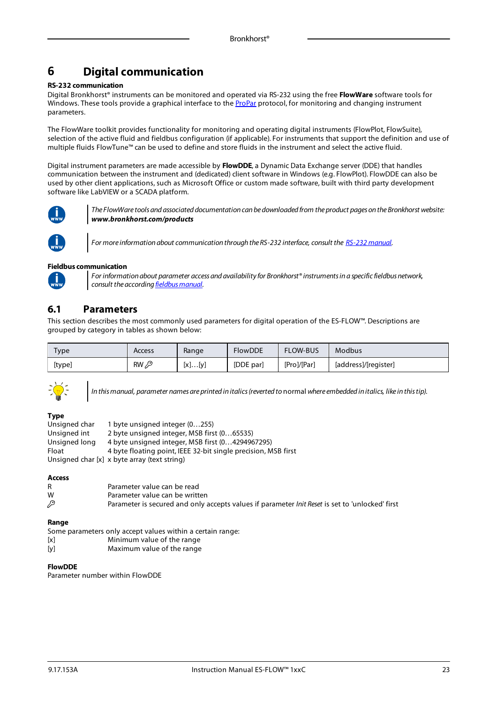# <span id="page-22-0"></span>**6 Digital communication**

### **RS-232 communication**

Digital Bronkhorst® instruments can be monitored and operated via RS-232 using the free **FlowWare** software tools for Windows. These tools provide a graphical interface to the [ProPar](#page-23-2) protocol, for monitoring and changing instrument parameters.

The FlowWare toolkit provides functionality for monitoring and operating digital instruments (FlowPlot, FlowSuite), selection of the active fluid and fieldbus configuration (if applicable). For instruments that support the definition and use of multiple fluids FlowTune™ can be used to define and store fluids in the instrument and select the active fluid.

Digital instrument parameters are made accessible by **FlowDDE**, a Dynamic Data Exchange server (DDE) that handles communication between the instrument and (dedicated) client software in Windows (e.g. FlowPlot). FlowDDE can also be used by other client applications, such as Microsoft Office or custom made software, built with third party development software like LabVIEW or a SCADA platform.



The FlowWare tools and associated documentation can be downloaded from the product pages on the Bronkhorst website: **www.bronkhorst.com/products**



For more information about communication through the RS-232 interface, consult the [RS-232 manual.](#page-8-0)

#### **Fieldbus communication**



For information about parameter access and availability for Bronkhorst® instruments in a specific fieldbus network, consult the according <u>fieldbus manual</u>.

# <span id="page-22-1"></span>**6.1 Parameters**

This section describes the most commonly used parameters for digital operation of the ES-FLOW™. Descriptions are grouped by category in tables as shown below:

| Type   | Access         | Range  | FlowDDE   | <b>FLOW-BUS</b> | <b>Modbus</b>        |
|--------|----------------|--------|-----------|-----------------|----------------------|
| [type] | $RW$ $\oslash$ | [x][y] | [DDE par] | [Pro]/[Par]     | [address]/[register] |



In this manual, parameter names are printed in italics (reverted to normal where embedded in italics, like in this tip).

### **Type**

| Unsigned char | 1 byte unsigned integer (0255)                                 |
|---------------|----------------------------------------------------------------|
| Unsigned int  | 2 byte unsigned integer, MSB first (065535)                    |
| Unsigned long | 4 byte unsigned integer, MSB first (04294967295)               |
| Float         | 4 byte floating point, IEEE 32-bit single precision, MSB first |
|               | Unsigned char [x] x byte array (text string)                   |

#### **Access**

| R | Parameter value can be read                                                                            |
|---|--------------------------------------------------------------------------------------------------------|
| W | Parameter value can be written                                                                         |
| ₽ | Parameter is secured and only accepts values if parameter <i>lnit Reset</i> is set to 'unlocked' first |

#### **Range**

Some parameters only accept values within a certain range:

- [x] Minimum value of the range
- [y] Maximum value of the range

### **FlowDDE**

Parameter number within FlowDDE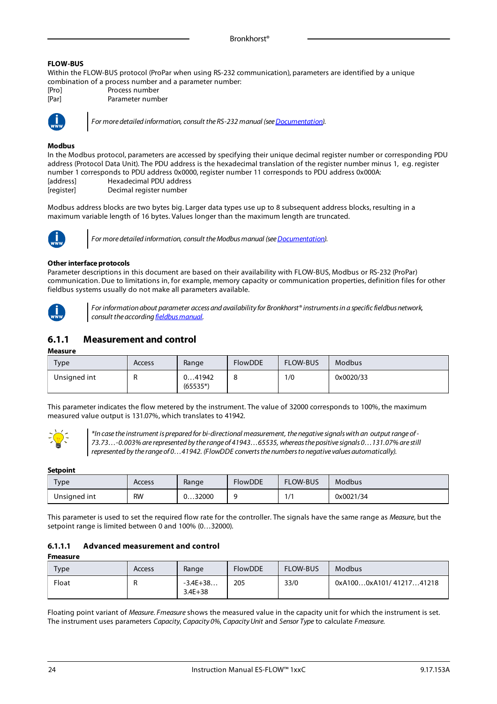### <span id="page-23-2"></span>**FLOW-BUS**

Within the FLOW-BUS protocol (ProPar when using RS-232 communication), parameters are identified by a unique combination of a process number and a parameter number:

| [Pro] | Process number   |
|-------|------------------|
| [Par] | Parameter number |



For more detailed information, consult the RS-232 manual (see [Documentation](#page-8-0)).

#### **Modbus**

In the Modbus protocol, parameters are accessed by specifying their unique decimal register number or corresponding PDU address (Protocol Data Unit). The PDU address is the hexadecimal translation of the register number minus 1, e.g. register number 1 corresponds to PDU address 0x0000, register number 11 corresponds to PDU address 0x000A: [address] Hexadecimal PDU address

Decimal register number

Modbus address blocks are two bytes big. Larger data types use up to 8 subsequent address blocks, resulting in a maximum variable length of 16 bytes. Values longer than the maximum length are truncated.



For more detailed information, consult the Modbus manual (see [Documentation\)](#page-8-0).

#### **Other interface protocols**

Parameter descriptions in this document are based on their availability with FLOW-BUS, Modbus or RS-232 (ProPar) communication. Due to limitations in, for example, memory capacity or communication properties, definition files for other fieldbus systems usually do not make all parameters available.



For information about parameter access and availability for Bronkhorst® instruments in a specific fieldbus network, consult the according [fieldbus manual](#page-8-0).

## <span id="page-23-0"></span>**6.1.1 Measurement and control**

<span id="page-23-4"></span>**Measure**

| Type         | Access | Range                | <b>FlowDDE</b> | <b>FLOW-BUS</b> | Modbus    |
|--------------|--------|----------------------|----------------|-----------------|-----------|
| Unsigned int | .,     | 041942<br>$(65535*)$ |                | 1/0             | 0x0020/33 |

This parameter indicates the flow metered by the instrument. The value of 32000 corresponds to 100%, the maximum measured value output is 131.07%, which translates to 41942.



\*In case the instrument is prepared for bi-directional measurement, the negative signals with an output range of - 73.73…-0.003% are represented by the range of 41943…65535, whereas the positive signals 0…131.07% are still represented by the range of 0…41942. (FlowDDE converts the numbers to negative values automatically).

<span id="page-23-5"></span>**Setpoint**

| Type         | Access    | Range  | <b>FlowDDE</b> | <b>FLOW-BUS</b> | Modbus    |
|--------------|-----------|--------|----------------|-----------------|-----------|
| Unsianed int | <b>RW</b> | 032000 |                | 1/1             | 0x0021/34 |

This parameter is used to set the required flow rate for the controller. The signals have the same range as Measure, but the setpoint range is limited between 0 and 100% (0…32000).

### <span id="page-23-3"></span><span id="page-23-1"></span>**6.1.1.1 Advanced measurement and control**

| <b>Type</b> | Access | Range                       | FlowDDE | <b>FLOW-BUS</b> | Modbus                  |
|-------------|--------|-----------------------------|---------|-----------------|-------------------------|
| Float       | n      | $-3.4E + 38$<br>$3.4E + 38$ | 205     | 33/0            | 0xA1000xA101/4121741218 |

Floating point variant of *Measure. Fmeasure* shows the measured value in the capacity unit for which the instrument is set. The instrument uses parameters Capacity, Capacity 0%, Capacity Unit and Sensor Type to calculate Fmeasure.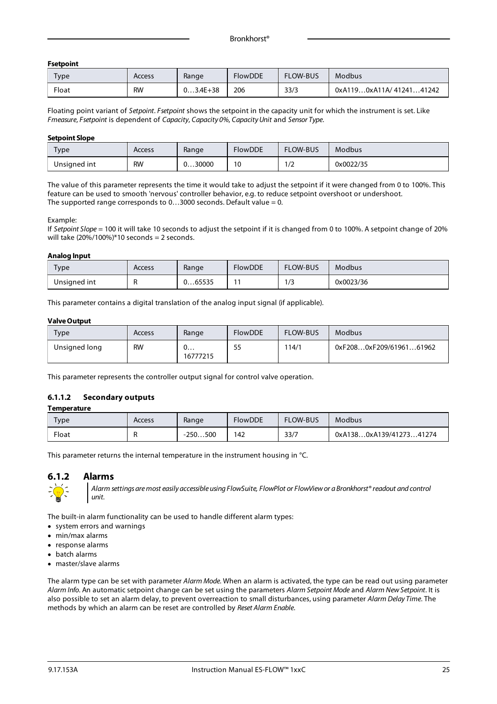### <span id="page-24-3"></span>**Fsetpoint**

| Type  | Access    | Range      | FlowDDE | <b>FLOW-BUS</b> | Modbus                   |
|-------|-----------|------------|---------|-----------------|--------------------------|
| Float | <b>RW</b> | $03.4E+38$ | 206     | 33/3            | 0xA1190xA11A/ 4124141242 |

Floating point variant of Setpoint. Fsetpoint shows the setpoint in the capacity unit for which the instrument is set. Like Fmeasure, Fsetpoint is dependent of Capacity, Capacity 0%, Capacity Unit and Sensor Type.

#### <span id="page-24-4"></span>**Setpoint Slope**

| Type         | Access    | Range  | FlowDDE | <b>FLOW-BUS</b>    | Modbus    |
|--------------|-----------|--------|---------|--------------------|-----------|
| Unsianed int | <b>RW</b> | 030000 | 10      | $\sqrt{2}$<br>17 Z | 0x0022/35 |

The value of this parameter represents the time it would take to adjust the setpoint if it were changed from 0 to 100%. This feature can be used to smooth 'nervous' controller behavior, e.g. to reduce setpoint overshoot or undershoot. The supported range corresponds to  $0...3000$  seconds. Default value = 0.

Example:

If Setpoint Slope = 100 it will take 10 seconds to adjust the setpoint if it is changed from 0 to 100%. A setpoint change of 20% will take  $(20\%/100\%)$ \*10 seconds = 2 seconds.

#### <span id="page-24-2"></span>**Analog Input**

| Type         | Access | Range  | <b>FlowDDE</b> | <b>FLOW-BUS</b> | Modbus    |
|--------------|--------|--------|----------------|-----------------|-----------|
| Unsigned int |        | 065535 |                | ,,              | 0x0023/36 |

This parameter contains a digital translation of the analog input signal (if applicable).

#### <span id="page-24-6"></span>**Valve Output**

| Type          | Access    | Range         | <b>FlowDDE</b> | <b>FLOW-BUS</b> | Modbus                  |
|---------------|-----------|---------------|----------------|-----------------|-------------------------|
| Unsigned long | <b>RW</b> | ∪<br>16777215 | 55             | 14/1            | 0xF2080xF209/6196161962 |

This parameter represents the controller output signal for control valve operation.

## <span id="page-24-5"></span><span id="page-24-0"></span>**6.1.1.2 Secondary outputs**

#### **Temperature**

| Type  | Access | Range     | FlowDDE | <b>FLOW-BUS</b> | Modbus                  |
|-------|--------|-----------|---------|-----------------|-------------------------|
| Float |        | $-250500$ | 142     | 33/7            | 0xA1380xA139/4127341274 |

This parameter returns the internal temperature in the instrument housing in °C.

### <span id="page-24-1"></span>**6.1.2 Alarms**

Alarm settings are most easily accessible using FlowSuite, FlowPlot or FlowView or a Bronkhorst® readout and control unit.

The built-in alarm functionality can be used to handle different alarm types:

- · system errors and warnings
- · min/max alarms
- · response alarms
- · batch alarms
- · master/slave alarms

The alarm type can be set with parameter Alarm Mode. When an alarm is activated, the type can be read out using parameter Alarm Info. An automatic setpoint change can be set using the parameters Alarm Setpoint Mode and Alarm New Setpoint. It is also possible to set an alarm delay, to prevent overreaction to small disturbances, using parameter Alarm Delay Time. The methods by which an alarm can be reset are controlled by Reset Alarm Enable.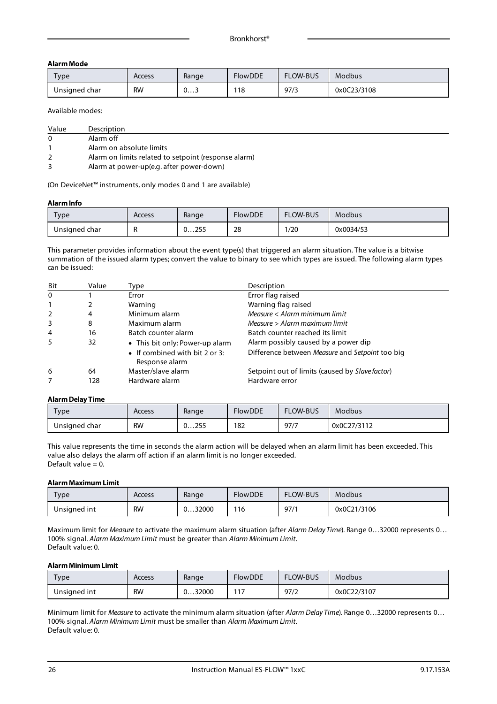### <span id="page-25-4"></span>**Alarm Mode**

| Type          | Access    | Range | <b>FlowDDE</b> | <b>FLOW-BUS</b> | Modbus      |
|---------------|-----------|-------|----------------|-----------------|-------------|
| Unsigned char | <b>RW</b> | כ…    | 118            | 97/3            | 0x0C23/3108 |

Available modes:

| Value | Description                                          |
|-------|------------------------------------------------------|
| 0     | Alarm off                                            |
|       | Alarm on absolute limits                             |
|       | Alarm on limits related to setpoint (response alarm) |
|       | Alarm at power-up(e.g. after power-down)             |
|       |                                                      |

(On DeviceNet™ instruments, only modes 0 and 1 are available)

### <span id="page-25-1"></span>**Alarm Info**

| Type          | Access | Range | FlowDDE | <b>FLOW-BUS</b> | Modbus    |
|---------------|--------|-------|---------|-----------------|-----------|
| Unsigned char |        | 0255  | 28      | /20             | 0x0034/53 |

This parameter provides information about the event type(s) that triggered an alarm situation. The value is a bitwise summation of the issued alarm types; convert the value to binary to see which types are issued. The following alarm types can be issued:

| Bit            | Value | Type                                             | Description                                     |
|----------------|-------|--------------------------------------------------|-------------------------------------------------|
| $\mathbf{0}$   |       | Error                                            | Error flag raised                               |
|                |       | Warning                                          | Warning flag raised                             |
| $\overline{2}$ | 4     | Minimum alarm                                    | Measure < Alarm minimum limit                   |
| 3              | 8     | Maximum alarm                                    | Measure > Alarm maximum limit                   |
| 4              | 16    | Batch counter alarm                              | Batch counter reached its limit                 |
| 5              | 32    | • This bit only: Power-up alarm                  | Alarm possibly caused by a power dip            |
|                |       | • If combined with bit 2 or 3:<br>Response alarm | Difference between Measure and Setpoint too big |
| 6              | 64    | Master/slave alarm                               | Setpoint out of limits (caused by Slave factor) |
|                | 128   | Hardware alarm                                   | Hardware error                                  |

### <span id="page-25-0"></span>**Alarm Delay Time**

| Type          | Access    | Range | <b>FlowDDE</b> | LOW-BUS | <b>Modbus</b> |
|---------------|-----------|-------|----------------|---------|---------------|
| Unsigned char | <b>RW</b> | 0255  | 182            | 97/7    | 0x0C27/3112   |

This value represents the time in seconds the alarm action will be delayed when an alarm limit has been exceeded. This value also delays the alarm off action if an alarm limit is no longer exceeded. Default value  $= 0$ .

### <span id="page-25-2"></span>**Alarm Maximum Limit**

| Type         | Access    | Range  | <b>FlowDDE</b> | <b>FLOW-BUS</b> | Modbus      |
|--------------|-----------|--------|----------------|-----------------|-------------|
| Unsigned int | <b>RW</b> | 032000 | ' 16           | 97/1            | 0x0C21/3106 |

Maximum limit for Measure to activate the maximum alarm situation (after Alarm Delay Time). Range 0...32000 represents 0... 100% signal. Alarm Maximum Limit must be greater than Alarm Minimum Limit. Default value: 0.

#### <span id="page-25-3"></span>**Alarm Minimum Limit**

| Type         | Access    | Range  | <b>FlowDDE</b> | <b>FLOW-BUS</b> | Modbus      |
|--------------|-----------|--------|----------------|-----------------|-------------|
| Unsianed int | <b>RW</b> | 032000 |                | 97/2            | 0x0C22/3107 |

Minimum limit for Measure to activate the minimum alarm situation (after Alarm Delay Time). Range 0...32000 represents 0... 100% signal. Alarm Minimum Limit must be smaller than Alarm Maximum Limit. Default value: 0.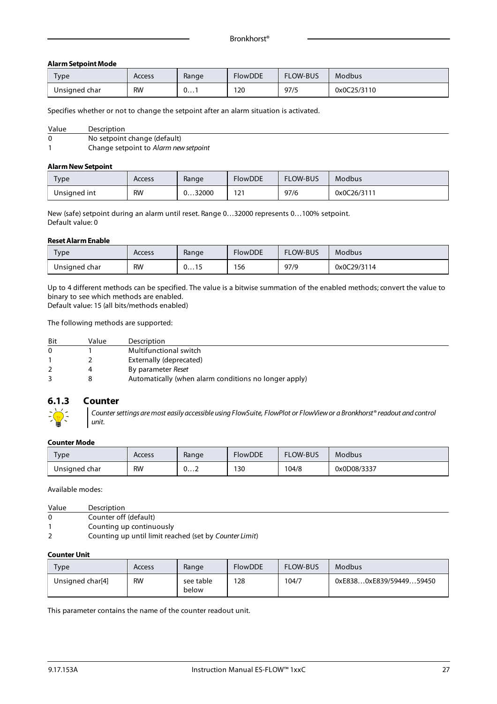### <span id="page-26-2"></span>**Alarm Setpoint Mode**

| Type          | Access    | Range | <b>FlowDDE</b> | <b>FLOW-BUS</b> | Modbus      |
|---------------|-----------|-------|----------------|-----------------|-------------|
| Unsigned char | <b>RW</b> | ∪ ।   | 120            | 97/5            | 0x0C25/3110 |

Specifies whether or not to change the setpoint after an alarm situation is activated.

| Value    | Description                  |  |
|----------|------------------------------|--|
| $\Omega$ | No setpoint change (default) |  |
|          | .                            |  |

1 Change setpoint to Alarm new setpoint

### <span id="page-26-1"></span>**Alarm New Setpoint**

| Type         | Access    | Range  | <b>FlowDDE</b> | <b>FLOW-BUS</b> | Modbus      |
|--------------|-----------|--------|----------------|-----------------|-------------|
| Unsigned int | <b>RW</b> | 032000 | 121            | 97/6            | 0x0C26/3111 |

New (safe) setpoint during an alarm until reset. Range 0…32000 represents 0…100% setpoint. Default value: 0

### <span id="page-26-3"></span>**Reset Alarm Enable**

| Type          | Access    | Range                | <b>FlowDDE</b> | <b>FLOW-BUS</b> | Modbus      |
|---------------|-----------|----------------------|----------------|-----------------|-------------|
| Unsianed char | <b>RW</b> | 1 E<br><b>U.I.IJ</b> | 156            | 97/9            | 0x0C29/3114 |

Up to 4 different methods can be specified. The value is a bitwise summation of the enabled methods; convert the value to binary to see which methods are enabled. Default value: 15 (all bits/methods enabled)

The following methods are supported:

| Bit | Value | Description                                           |
|-----|-------|-------------------------------------------------------|
|     |       | Multifunctional switch                                |
|     |       | Externally (deprecated)                               |
|     |       | By parameter Reset                                    |
|     |       | Automatically (when alarm conditions no longer apply) |

# <span id="page-26-0"></span>**6.1.3 Counter**

Counter settings are most easily accessible using FlowSuite, FlowPlot or FlowView or a Bronkhorst® readout and control unit.

### <span id="page-26-4"></span>**Counter Mode**

| Type          | Access    | Range | <b>FlowDDE</b> | <b>FLOW-BUS</b> | <b>Modbus</b> |
|---------------|-----------|-------|----------------|-----------------|---------------|
| Unsigned char | <b>RW</b> | ◡∠    | 130            | 104/8           | 0x0D08/3337   |

Available modes:

| Value | Description              |  |
|-------|--------------------------|--|
|       | Counter off (default)    |  |
|       | Counting up continuously |  |

2 Counting up until limit reached (set by Counter Limit)

### <span id="page-26-5"></span>**Counter Unit**

| Type                         | Access    | Range              | FlowDDE | <b>FLOW-BUS</b> | Modbus                  |  |
|------------------------------|-----------|--------------------|---------|-----------------|-------------------------|--|
| Unsigned char <sup>[4]</sup> | <b>RW</b> | see table<br>below | 128     | 104/7           | 0xE8380xE839/5944959450 |  |

This parameter contains the name of the counter readout unit.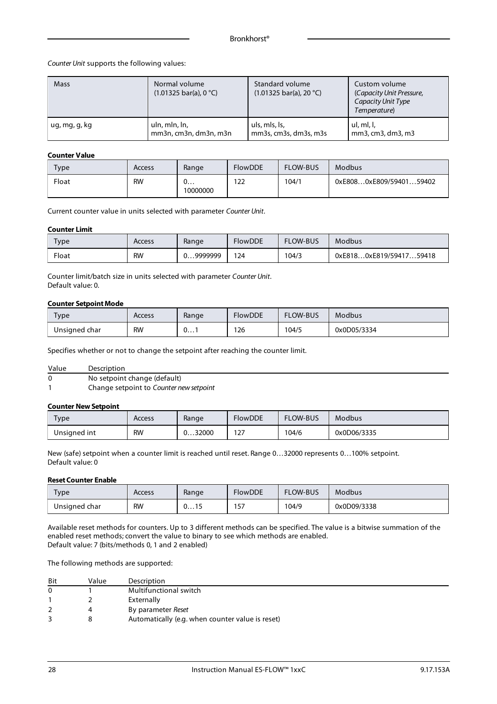Counter Unit supports the following values:

| Mass          | Normal volume<br>$(1.01325 \text{ bar(a)}, 0 \degree C)$ | Standard volume<br>$(1.01325 \text{ bar(a)}, 20 \text{ }^{\circ}\text{C})$ | Custom volume<br>(Capacity Unit Pressure,<br>Capacity Unit Type<br>Temperature) |
|---------------|----------------------------------------------------------|----------------------------------------------------------------------------|---------------------------------------------------------------------------------|
| ug, mg, g, kg | uln, mln, ln,                                            | uls, mls, ls,                                                              | ul, ml, l,                                                                      |
|               | mm3n, cm3n, dm3n, m3n                                    | mm3s, cm3s, dm3s, m3s                                                      | mm3, cm3, dm3, m3                                                               |

### <span id="page-27-3"></span>**Counter Value**

| Type  | Access    | Range         | <b>FlowDDE</b> | <b>FLOW-BUS</b> | Modbus                  |
|-------|-----------|---------------|----------------|-----------------|-------------------------|
| Float | <b>RW</b> | ∪<br>10000000 | 122            | 104/1           | 0xE8080xE809/5940159402 |

Current counter value in units selected with parameter Counter Unit.

#### <span id="page-27-0"></span>**Counter Limit**

| Type  | Access    | Range    | FlowDDE | <b>FLOW-BUS</b> | Modbus                  |
|-------|-----------|----------|---------|-----------------|-------------------------|
| Float | <b>RW</b> | 09999999 | 124     | 104/3           | 0xE8180xE819/5941759418 |

Counter limit/batch size in units selected with parameter Counter Unit. Default value: 0.

### <span id="page-27-2"></span>**Counter Setpoint Mode**

| Type          | Access    | Range      | <b>FlowDDE</b> | <b>FLOW-BUS</b> | Modbus      |
|---------------|-----------|------------|----------------|-----------------|-------------|
| Unsianed char | <b>RW</b> | <b>U</b> I | 126            | 104/5           | 0x0D05/3334 |

Specifies whether or not to change the setpoint after reaching the counter limit.

| Value | Description |
|-------|-------------|
|       |             |

0 No setpoint change (default)

1 Change setpoint to Counter new setpoint

### <span id="page-27-1"></span>**Counter New Setpoint**

| Type         | Access    | Range  | <b>FlowDDE</b> | <b>FLOW-BUS</b> | Modbus      |
|--------------|-----------|--------|----------------|-----------------|-------------|
| Unsianed int | <b>RW</b> | 032000 | 127            | 104/6           | 0x0D06/3335 |

New (safe) setpoint when a counter limit is reached until reset. Range 0…32000 represents 0…100% setpoint. Default value: 0

### <span id="page-27-4"></span>**Reset Counter Enable**

| Type          | Access    | Range | FlowDDE     | <b>FLOW-BUS</b> | Modbus      |
|---------------|-----------|-------|-------------|-----------------|-------------|
| Unsigned char | <b>RW</b> | ◡ つ   | $ -$<br>، پ | 104/9           | 0x0D09/3338 |

Available reset methods for counters. Up to 3 different methods can be specified. The value is a bitwise summation of the enabled reset methods; convert the value to binary to see which methods are enabled. Default value: 7 (bits/methods 0, 1 and 2 enabled)

The following methods are supported:

| Multifunctional switch                           |  |
|--------------------------------------------------|--|
|                                                  |  |
| Externally                                       |  |
| By parameter Reset                               |  |
| Automatically (e.g. when counter value is reset) |  |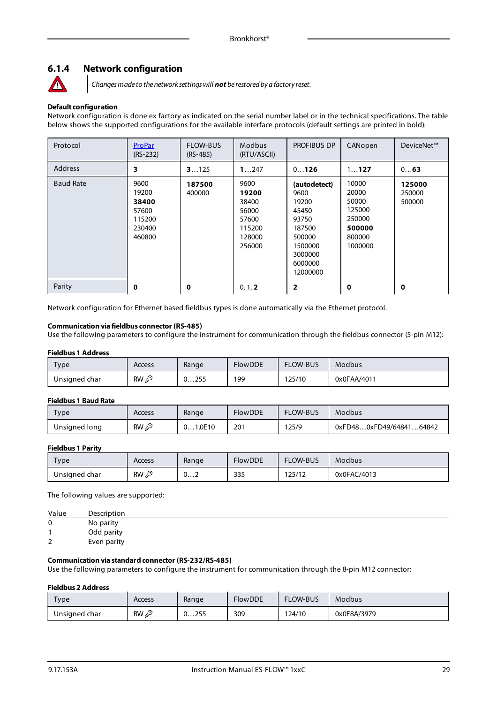# <span id="page-28-0"></span>**6.1.4 Network configuration**

Changes made to the network settings will **not** be restored by a factory reset.

### **Default configuration**

 $\Lambda$ 

Network configuration is done ex factory as indicated on the serial number label or in the technical specifications. The table below shows the supported configurations for the available interface protocols (default settings are printed in bold):

| Protocol         | ProPar<br>$(RS-232)$                                          | <b>FLOW-BUS</b><br>$(RS-485)$ | <b>Modbus</b><br>(RTU/ASCII)                                           | PROFIBUS DP                                                                                                      | CANopen                                                                    | DeviceNet™                 |
|------------------|---------------------------------------------------------------|-------------------------------|------------------------------------------------------------------------|------------------------------------------------------------------------------------------------------------------|----------------------------------------------------------------------------|----------------------------|
| Address          | 3                                                             | 3125                          | 1247                                                                   | 0126                                                                                                             | 1127                                                                       | 063                        |
| <b>Baud Rate</b> | 9600<br>19200<br>38400<br>57600<br>115200<br>230400<br>460800 | 187500<br>400000              | 9600<br>19200<br>38400<br>56000<br>57600<br>115200<br>128000<br>256000 | (autodetect)<br>9600<br>19200<br>45450<br>93750<br>187500<br>500000<br>1500000<br>3000000<br>6000000<br>12000000 | 10000<br>20000<br>50000<br>125000<br>250000<br>500000<br>800000<br>1000000 | 125000<br>250000<br>500000 |
| Parity           | 0                                                             | 0                             | 0, 1, 2                                                                | $\overline{2}$                                                                                                   | 0                                                                          | 0                          |

Network configuration for Ethernet based fieldbus types is done automatically via the Ethernet protocol.

#### **Communication via fieldbus connector (RS-485)**

Use the following parameters to configure the instrument for communication through the fieldbus connector (5-pin M12):

#### <span id="page-28-1"></span>**Fieldbus 1 Address**

| Type <sub>1</sub> | Access         | Range | FlowDDE | <b>FLOW-BUS</b> | Modbus      |
|-------------------|----------------|-------|---------|-----------------|-------------|
| Unsigned char     | ∕<br><b>RW</b> | 0255  | 199     | 125/10          | 0x0FAA/4011 |

### <span id="page-28-2"></span>**Fieldbus 1 Baud Rate**

| Type          | Access         | Range   | FlowDDE | <b>FLOW-BUS</b> | Modbus                  |
|---------------|----------------|---------|---------|-----------------|-------------------------|
| Unsigned long | $RW$ $\oslash$ | 01.0E10 | 201     | 125/9           | 0xFD480xFD49/6484164842 |

#### <span id="page-28-3"></span>**Fieldbus 1 Parity**

| Type          | Access          | Range | <b>FlowDDE</b> | <b>FLOW-BUS</b> | Modbus      |
|---------------|-----------------|-------|----------------|-----------------|-------------|
| Unsigned char | ∕Q<br><b>RW</b> | ◡∠    | 335            | 25/12           | 0x0FAC/4013 |

The following values are supported:

| Value    | Description |  |  |  |  |
|----------|-------------|--|--|--|--|
| $\Omega$ | No parity   |  |  |  |  |
|          |             |  |  |  |  |

1 Odd parity 2 Even parity

#### **Communication via standard connector (RS-232/RS-485)**

Use the following parameters to configure the instrument for communication through the 8-pin M12 connector:

### <span id="page-28-4"></span>**Fieldbus 2 Address**

| Type          | Access    | Range              | <b>FlowDDE</b> | <b>FLOW-BUS</b> | <b>Modbus</b> |
|---------------|-----------|--------------------|----------------|-----------------|---------------|
| Unsigned char | <b>RW</b> | つらに<br><u>vzjj</u> | 309            | 124/10          | 0x0F8A/3979   |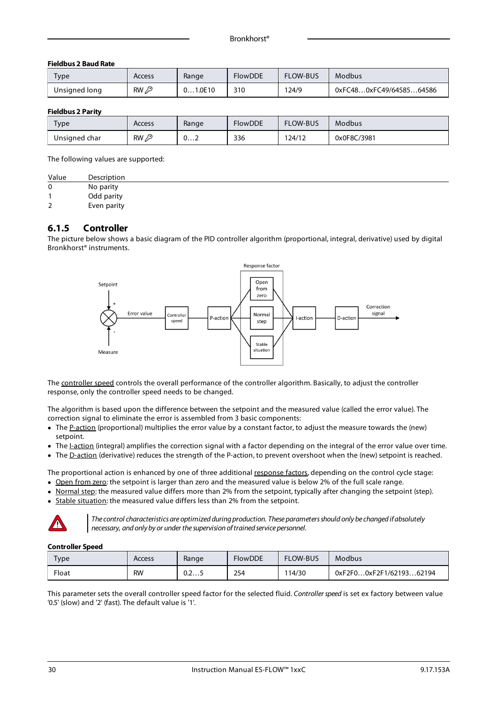### <span id="page-29-2"></span>**Fieldbus 2 Baud Rate**

| Type          | Access         | Range   | FlowDDE | <b>FLOW-BUS</b> | Modbus                  |
|---------------|----------------|---------|---------|-----------------|-------------------------|
| Unsianed lona | $RW$ $\oslash$ | 01.0E10 | 310     | '24/9           | 0xFC480xFC49/6458564586 |

#### <span id="page-29-3"></span>**Fieldbus 2 Parity**

| Type          | Access         | Range | FlowDDE | <b>FLOW-BUS</b> | Modbus      |
|---------------|----------------|-------|---------|-----------------|-------------|
| Unsianed char | $RW$ $\oslash$ | ∪∠    | 336     | 124/12          | 0x0F8C/3981 |

The following values are supported:

| Value | Description |
|-------|-------------|
| 0     | No parity   |
| 1     | Odd parity  |
| 2     | Even parity |

### <span id="page-29-0"></span>**6.1.5 Controller**

The picture below shows a basic diagram of the PID controller algorithm (proportional, integral, derivative) used by digital Bronkhorst® instruments.



The controller speed controls the overall performance of the controller algorithm. Basically, to adjust the controller response, only the controller speed needs to be changed.

The algorithm is based upon the difference between the setpoint and the measured value (called the error value). The correction signal to eliminate the error is assembled from 3 basic components:

- The <u>P-action</u> (proportional) multiplies the error value by a constant factor, to adjust the measure towards the (new) setpoint.
- The <u>I-action</u> (integral) amplifies the correction signal with a factor depending on the integral of the error value over time.
- The <u>D-action</u> (derivative) reduces the strength of the P-action, to prevent overshoot when the (new) setpoint is reached.

The proportional action is enhanced by one of three additional response factors, depending on the control cycle stage:

- Open from zero: the setpoint is larger than zero and the measured value is below 2% of the full scale range.
- Normal step: the measured value differs more than 2% from the setpoint, typically after changing the setpoint (step).
- Stable situation: the measured value differs less than 2% from the setpoint.



The control characteristics are optimized during production. These parameters should only be changed if absolutely necessary, and only by or under the supervision of trained service personnel.

#### <span id="page-29-1"></span>**Controller Speed**

| Type  | Access    | Range      | FlowDDE | <b>FLOW-BUS</b> | Modbus                  |
|-------|-----------|------------|---------|-----------------|-------------------------|
| Float | <b>RW</b> | ∩ำ<br>0.2J | 254     | 114/30          | 0xF2F00xF2F1/6219362194 |

This parameter sets the overall controller speed factor for the selected fluid. Controller speed is set ex factory between value '0.5' (slow) and '2' (fast). The default value is '1'.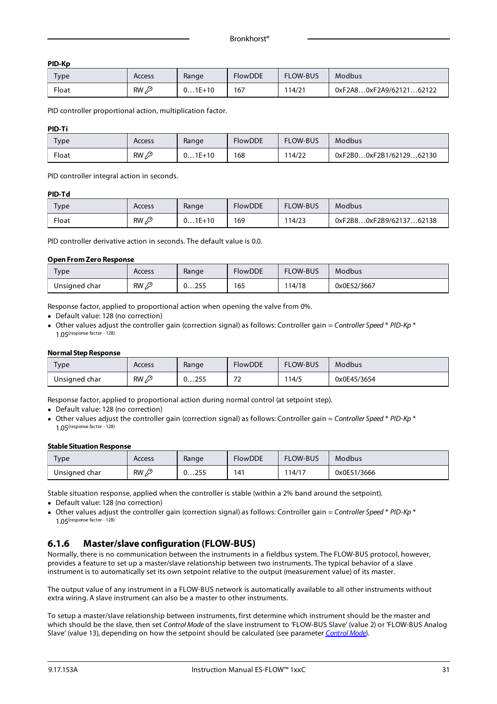<span id="page-30-3"></span>**PID-Kp**

| Type  | Access         | Range    | <b>FlowDDE</b> | <b>FLOW-BUS</b> | Modbus                  |
|-------|----------------|----------|----------------|-----------------|-------------------------|
| Float | $RW$ $\oslash$ | $01E+10$ | 167            | 114/21          | 0xF2A80xF2A9/6212162122 |

PID controller proportional action, multiplication factor.

### <span id="page-30-5"></span>**PID-Ti**

| Type  | Access      | Range    | FlowDDE | <b>FLOW-BUS</b> | Modbus                  |
|-------|-------------|----------|---------|-----------------|-------------------------|
| Float | $RW\oslash$ | $01E+10$ | 168     | 114/22          | 0xF2B00xF2B1/6212962130 |

PID controller integral action in seconds.

#### <span id="page-30-4"></span>**PID-Td**

| Type <sub>1</sub> | Access         | Range    | <b>FlowDDE</b> | <b>FLOW-BUS</b> | Modbus                  |
|-------------------|----------------|----------|----------------|-----------------|-------------------------|
| Float             | $RW$ $\oslash$ | $01E+10$ | 169            | 114/23          | 0xF2B80xF2B9/6213762138 |

PID controller derivative action in seconds. The default value is 0.0.

#### <span id="page-30-2"></span>**Open From Zero Response**

| Type          | Access      | Range | <b>FlowDDE</b> | <b>FLOW-BUS</b> | Modbus      |
|---------------|-------------|-------|----------------|-----------------|-------------|
| Unsianed char | $RW\oslash$ | 0255  | 165            | 114/18          | 0x0E52/3667 |

Response factor, applied to proportional action when opening the valve from 0%.

- · Default value: 128 (no correction)
- Citien values adjust the controller gain (correction signal) as follows: Controller gain = Controller Speed \* PID-Kp \* 1.05(response factor - 128)

#### <span id="page-30-1"></span>**Normal Step Response**

| Type          | Access  | Range              | FlowDDE                       | <b>FLOW-BUS</b> | Modbus      |
|---------------|---------|--------------------|-------------------------------|-----------------|-------------|
| Unsigned char | ₽<br>RW | つちち<br><u> 253</u> | $\overline{\phantom{a}}$<br>້ | 114/5           | 0x0E45/3654 |

Response factor, applied to proportional action during normal control (at setpoint step).

· Default value: 128 (no correction)

• Citien values adjust the controller gain (correction signal) as follows: Controller gain = Controller Speed \* PID-Kp \* 1.05(response factor - 128)

#### <span id="page-30-6"></span>**Stable Situation Response**

| Type          | Access   | Range | <b>FlowDDE</b> | <b>FLOW-BUS</b> | Modbus      |
|---------------|----------|-------|----------------|-----------------|-------------|
| Unsianed char | ∕Q<br>RW | 0255  | 141            | 114/17          | 0x0E51/3666 |

Stable situation response, applied when the controller is stable (within a 2% band around the setpoint).

· Default value: 128 (no correction)

• Citien values adjust the controller gain (correction signal) as follows: Controller gain = Controller Speed \* PID-Kp \* 1.05(response factor - 128)

# <span id="page-30-0"></span>**6.1.6 Master/slave configuration (FLOW-BUS)**

Normally, there is no communication between the instruments in a fieldbus system. The FLOW-BUS protocol, however, provides a feature to set up a master/slave relationship between two instruments. The typical behavior of a slave instrument is to automatically set its own setpoint relative to the output (measurement value) of its master.

The output value of any instrument in a FLOW-BUS network is automatically available to all other instruments without extra wiring. A slave instrument can also be a master to other instruments.

To setup a master/slave relationship between instruments, first determine which instrument should be the master and which should be the slave, then set Control Mode of the slave instrument to 'FLOW-BUS Slave' (value 2) or 'FLOW-BUS Analog Slave' (value 13), depending on how the setpoint should be calculated (see parameter [Control Mode](#page-33-0)).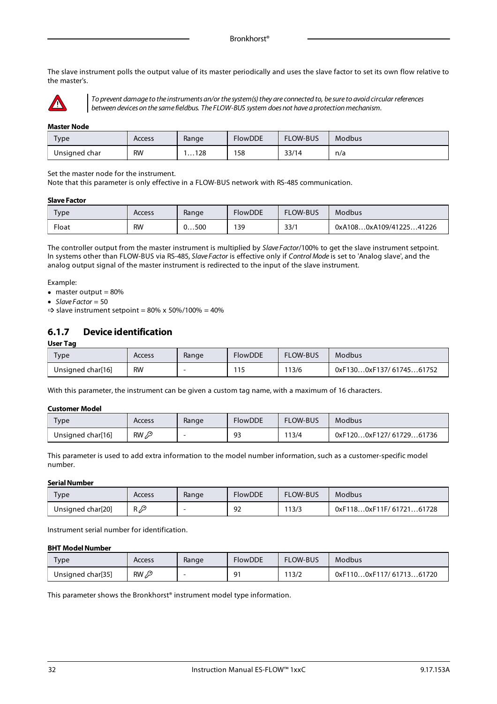The slave instrument polls the output value of its master periodically and uses the slave factor to set its own flow relative to the master's.



To prevent damage to the instruments an/or the system(s) they are connected to, be sure to avoid circular references between devices on the same fieldbus. The FLOW-BUS system does not have a protection mechanism.

#### <span id="page-31-5"></span>**Master Node**

| Type          | Access    | Range | <b>FlowDDE</b> | <b>FLOW-BUS</b> | <b>Modbus</b> |
|---------------|-----------|-------|----------------|-----------------|---------------|
| Unsigned char | <b>RW</b> | 1128  | 158            | 33/14           | n/a           |

Set the master node for the instrument.

Note that this parameter is only effective in a FLOW-BUS network with RS-485 communication.

#### <span id="page-31-6"></span>**Slave Factor**

| Type  | Access    | Range | <b>FlowDDE</b> | <b>FLOW-BUS</b> | Modbus                  |
|-------|-----------|-------|----------------|-----------------|-------------------------|
| Float | <b>RW</b> | 0500  | 139            | 33/1            | 0xA1080xA109/4122541226 |

The controller output from the master instrument is multiplied by Slave Factor/100% to get the slave instrument setpoint. In systems other than FLOW-BUS via RS-485, Slave Factor is effective only if Control Mode is set to 'Analog slave', and the analog output signal of the master instrument is redirected to the input of the slave instrument.

Example:

- · master output = 80%
- Slave Factor =  $50$
- $\Rightarrow$  slave instrument setpoint = 80% x 50%/100% = 40%

## <span id="page-31-0"></span>**6.1.7 Device identification**

### <span id="page-31-4"></span>**User Tag**

| Type                          | Access    | Range | <b>FlowDDE</b> | <b>FLOW-BUS</b> | Modbus                  |
|-------------------------------|-----------|-------|----------------|-----------------|-------------------------|
| Unsigned char <sup>[16]</sup> | <b>RW</b> |       | 11 F<br>. .    | 13/6            | 0xF1300xF137/6174561752 |

With this parameter, the instrument can be given a custom tag name, with a maximum of 16 characters.

#### <span id="page-31-2"></span>**Customer Model**

| Type                          | Access         | Range | FlowDDE | <b>FLOW-BUS</b> | Modbus                  |
|-------------------------------|----------------|-------|---------|-----------------|-------------------------|
| Unsigned char <sup>[16]</sup> | $RW$ $\oslash$ |       | 93      | 13/4            | 0xF1200xF127/6172961736 |

This parameter is used to add extra information to the model number information, such as a customer-specific model number.

### <span id="page-31-3"></span>**Serial Number**

| Type                          | Access         | Range | FlowDDE | <b>FLOW-BUS</b> | Modbus                  |
|-------------------------------|----------------|-------|---------|-----------------|-------------------------|
| Unsigned char <sup>[20]</sup> | $R\mathcal{P}$ |       | 92      | 13/3            | 0xF1180xF11F/6172161728 |

Instrument serial number for identification.

### <span id="page-31-1"></span>**BHT Model Number**

| Type              | Access         | Range | <b>FlowDDE</b> | <b>FLOW-BUS</b> | Modbus                  |
|-------------------|----------------|-------|----------------|-----------------|-------------------------|
| Unsigned char[35] | $RW$ $\oslash$ |       | $^{\Omega}$    | 113/2           | 0xF1100xF117/6171361720 |

This parameter shows the Bronkhorst® instrument model type information.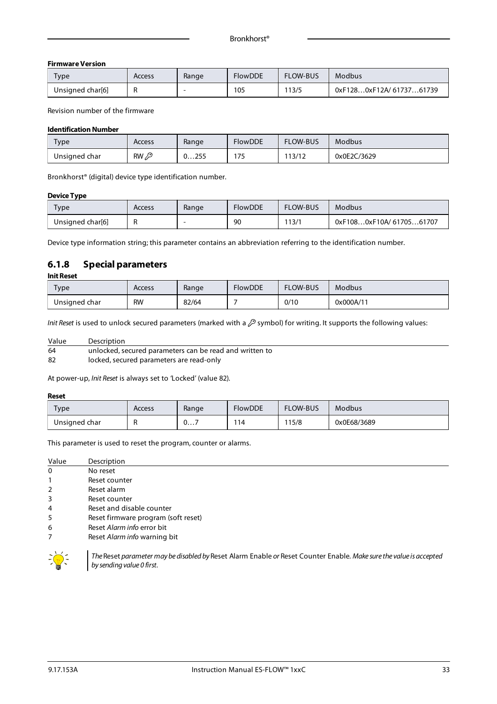### <span id="page-32-2"></span>**Firmware Version**

| Type                         | Access | Range | <b>FlowDDE</b> | <b>FLOW-BUS</b> | Modbus                  |
|------------------------------|--------|-------|----------------|-----------------|-------------------------|
| Unsigned char <sup>[6]</sup> |        |       | 105            | 13/5            | 0xF1280xF12A/6173761739 |

Revision number of the firmware

### <span id="page-32-3"></span>**Identification Number**

| Type          | Access         | Range              | FlowDDE | <b>FLOW-BUS</b> | Modbus      |
|---------------|----------------|--------------------|---------|-----------------|-------------|
| Unsigned char | $RW$ $\oslash$ | つにに<br><u>uzjj</u> | 175     | 113/12          | 0x0E2C/3629 |

Bronkhorst® (digital) device type identification number.

### <span id="page-32-1"></span>**Device Type**

| Type                         | Access | Range | FlowDDE | <b>FLOW-BUS</b> | Modbus                  |
|------------------------------|--------|-------|---------|-----------------|-------------------------|
| Unsigned char <sup>[6]</sup> |        |       | 90      | 113/1           | 0xF1080xF10A/6170561707 |

Device type information string; this parameter contains an abbreviation referring to the identification number.

# <span id="page-32-0"></span>**6.1.8 Special parameters**

<span id="page-32-4"></span>

| <b>Init Reset</b> |           |       |                |                 |           |  |
|-------------------|-----------|-------|----------------|-----------------|-----------|--|
| Type              | Access    | Range | <b>FlowDDE</b> | <b>FLOW-BUS</b> | Modbus    |  |
| Unsigned char     | <b>RW</b> | 82/64 |                | 0/10            | 0x000A/11 |  |

Init Reset is used to unlock secured parameters (marked with a  $\mathcal{P}$  symbol) for writing. It supports the following values:

| Value | Description                                             |
|-------|---------------------------------------------------------|
| 64    | unlocked, secured parameters can be read and written to |
| 82    | locked, secured parameters are read-only                |

At power-up, Init Reset is always set to 'Locked' (value 82).

#### <span id="page-32-5"></span>**Reset**

| Type          | Access | Range   | <b>FlowDDE</b> | <b>FLOW-BUS</b> | Modbus      |
|---------------|--------|---------|----------------|-----------------|-------------|
| Unsigned char |        | <u></u> | 114            | 115/8           | 0x0E68/3689 |

This parameter is used to reset the program, counter or alarms.

| Value          | Description                                                                                                        |
|----------------|--------------------------------------------------------------------------------------------------------------------|
| 0              | No reset                                                                                                           |
|                | Reset counter                                                                                                      |
| $\overline{2}$ | Reset alarm                                                                                                        |
| 3              | Reset counter                                                                                                      |
| 4              | Reset and disable counter                                                                                          |
| 5              | Reset firmware program (soft reset)                                                                                |
| 6              | Reset Alarm info error bit                                                                                         |
|                | Reset Alarm info warning bit                                                                                       |
|                | The Beset parameter may be disabled by Beset Alarm Enable or Beset Counter Enable. Make sure the value is accepted |



The Reset parameter may be disabled by Reset Alarm Enable or Reset Counter Enable. Make sure the value is accepted by sending value 0 first.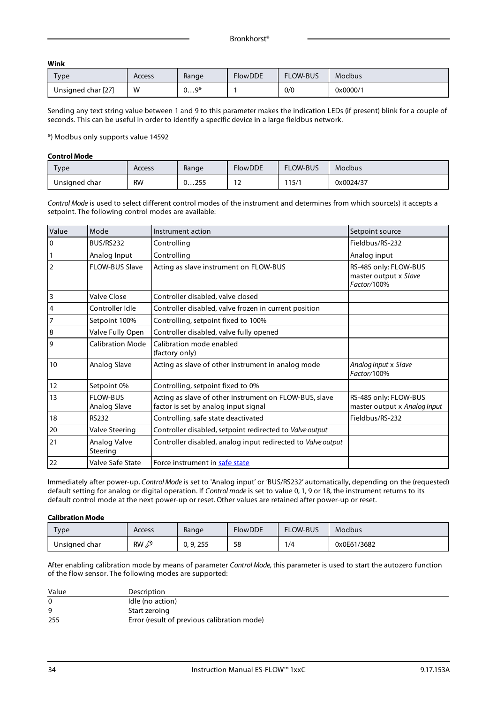<span id="page-33-1"></span>**Wink**

| .                  |        |         |         |                 |               |  |
|--------------------|--------|---------|---------|-----------------|---------------|--|
| Type               | Access | Range   | FlowDDE | <b>FLOW-BUS</b> | <b>Modbus</b> |  |
| Unsigned char [27] | W      | O*<br>◡ |         | 0/0             | 0x0000/1      |  |

Sending any text string value between 1 and 9 to this parameter makes the indication LEDs (if present) blink for a couple of seconds. This can be useful in order to identify a specific device in a large fieldbus network.

\*) Modbus only supports value 14592

### <span id="page-33-0"></span>**Control Mode**

| Type          | Access    | Range       | <b>FlowDDE</b>                | <b>FLOW-BUS</b> | <b>Modbus</b> |
|---------------|-----------|-------------|-------------------------------|-----------------|---------------|
| Unsigned char | <b>RW</b> | つちち<br>u∠JJ | $\overline{\phantom{a}}$<br>- | 15/1            | 0x0024/37     |

Control Mode is used to select different control modes of the instrument and determines from which source(s) it accepts a setpoint. The following control modes are available:

| Value          | Mode                     | Instrument action                                                                              | Setpoint source                                               |
|----------------|--------------------------|------------------------------------------------------------------------------------------------|---------------------------------------------------------------|
| $\pmb{0}$      | <b>BUS/RS232</b>         | Controlling                                                                                    | Fieldbus/RS-232                                               |
| $\mathbf{1}$   | Analog Input             | Controlling                                                                                    | Analog input                                                  |
| $\overline{2}$ | <b>FLOW-BUS Slave</b>    | Acting as slave instrument on FLOW-BUS                                                         | RS-485 only: FLOW-BUS<br>master output x Slave<br>Factor/100% |
| $\overline{3}$ | Valve Close              | Controller disabled, valve closed                                                              |                                                               |
| $\overline{4}$ | Controller Idle          | Controller disabled, valve frozen in current position                                          |                                                               |
| $\overline{7}$ | Setpoint 100%            | Controlling, setpoint fixed to 100%                                                            |                                                               |
| 8              | Valve Fully Open         | Controller disabled, valve fully opened                                                        |                                                               |
| 9              | <b>Calibration Mode</b>  | Calibration mode enabled<br>(factory only)                                                     |                                                               |
| 10             | Analog Slave             | Acting as slave of other instrument in analog mode                                             | Analog Input x Slave<br>Factor/100%                           |
| 12             | Setpoint 0%              | Controlling, setpoint fixed to 0%                                                              |                                                               |
| 13             | FLOW-BUS<br>Analog Slave | Acting as slave of other instrument on FLOW-BUS, slave<br>factor is set by analog input signal | RS-485 only: FLOW-BUS<br>master output x Analog Input         |
| 18             | <b>RS232</b>             | Controlling, safe state deactivated                                                            | Fieldbus/RS-232                                               |
| 20             | Valve Steering           | Controller disabled, setpoint redirected to Valve output                                       |                                                               |
| 21             | Analog Valve<br>Steering | Controller disabled, analog input redirected to Valve output                                   |                                                               |
| 22             | Valve Safe State         | Force instrument in safe state                                                                 |                                                               |

Immediately after power-up, Control Mode is set to 'Analog input' or 'BUS/RS232' automatically, depending on the (requested) default setting for analog or digital operation. If Control mode is set to value 0, 1, 9 or 18, the instrument returns to its default control mode at the next power-up or reset. Other values are retained after power-up or reset.

### **Calibration Mode**

| Type          | Access         | Range        | FlowDDE | LOW-BUS | Modbus      |
|---------------|----------------|--------------|---------|---------|-------------|
| Unsigned char | $RW$ $\oslash$ | 9.255<br>n a | 58      | 1/4     | 0x0E61/3682 |

After enabling calibration mode by means of parameter Control Mode, this parameter is used to start the autozero function of the flow sensor. The following modes are supported:

| Value | Description                                 |
|-------|---------------------------------------------|
| 0     | Idle (no action)                            |
| q     | Start zeroing                               |
| 255   | Error (result of previous calibration mode) |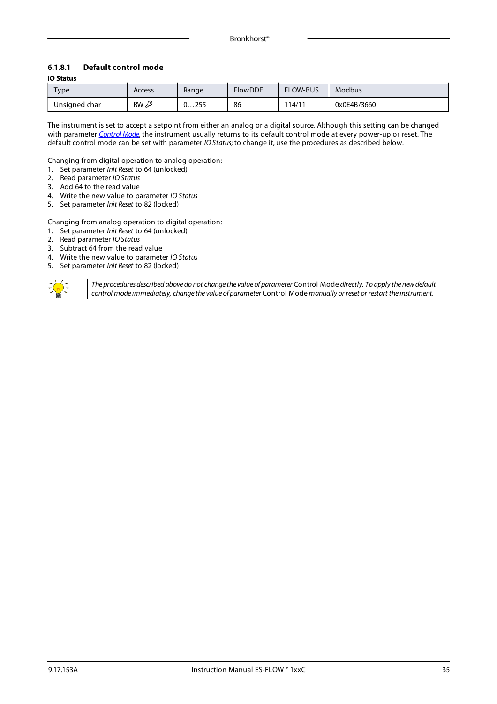### <span id="page-34-0"></span>**6.1.8.1 Default control mode**

#### <span id="page-34-1"></span>**IO Status**

| Type          | Access         | Range | FlowDDE | <b>FLOW-BUS</b> | Modbus      |
|---------------|----------------|-------|---------|-----------------|-------------|
| Unsigned char | ₽<br><b>RW</b> | 0255  | 86      | 114/11          | 0x0E4B/3660 |

The instrument is set to accept a setpoint from either an analog or a digital source. Although this setting can be changed with parameter [Control Mode](#page-33-0), the instrument usually returns to its default control mode at every power-up or reset. The default control mode can be set with parameter IO Status; to change it, use the procedures as described below.

Changing from digital operation to analog operation:

- 1. Set parameter Init Reset to 64 (unlocked)
- 2. Read parameter IO Status
- 3. Add 64 to the read value
- 4. Write the new value to parameter IO Status
- 5. Set parameter Init Reset to 82 (locked)

Changing from analog operation to digital operation:

- 1. Set parameter Init Reset to 64 (unlocked)
- 2. Read parameter IO Status
- 3. Subtract 64 from the read value
- 4. Write the new value to parameter IO Status
- 5. Set parameter Init Reset to 82 (locked)



The procedures described above do not change the value of parameter Control Mode directly. To apply the new default control mode immediately, change the value of parameter Control Mode manually or reset or restart the instrument.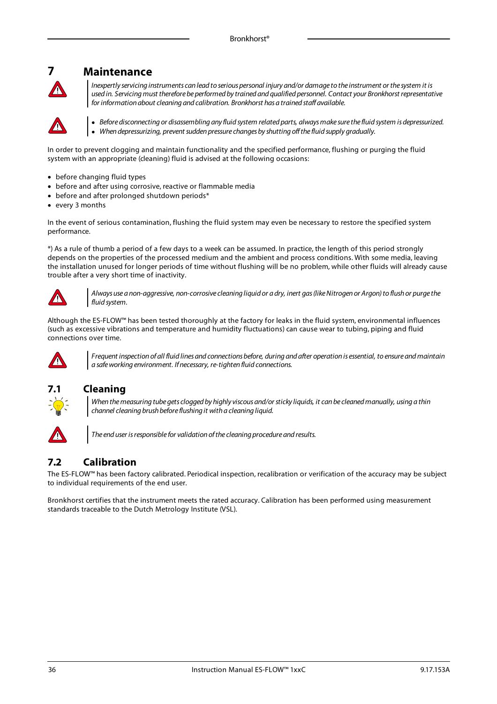

# <span id="page-35-0"></span>**7 Maintenance**

Inexpertly servicing instruments can lead to serious personal injury and/or damage to the instrument or the system it is used in. Servicing must therefore be performed by trained and qualified personnel. Contact your Bronkhorst representative for information about cleaning and calibration. Bronkhorst has a trained staff available.



• Before disconnecting or disassembling any fluid system related parts, always make sure the fluid system is depressurized.<br>• When depressurizing, provent sudden pressure changes by shutting off the fluid supply aradually When depressurizing, prevent sudden pressure changes by shutting off the fluid supply gradually.

In order to prevent clogging and maintain functionality and the specified performance, flushing or purging the fluid system with an appropriate (cleaning) fluid is advised at the following occasions:

- · before changing fluid types
- · before and after using corrosive, reactive or flammable media
- · before and after prolonged shutdown periods\*
- · every 3 months

In the event of serious contamination, flushing the fluid system may even be necessary to restore the specified system performance.

\*) As a rule of thumb a period of a few days to a week can be assumed. In practice, the length of this period strongly depends on the properties of the processed medium and the ambient and process conditions. With some media, leaving the installation unused for longer periods of time without flushing will be no problem, while other fluids will already cause trouble after a very short time of inactivity.



Always use a non-aggressive, non-corrosive cleaning liquid or a dry, inert gas (like Nitrogen or Argon) to flush or purge the fluid system.

Although the ES-FLOW™ has been tested thoroughly at the factory for leaks in the fluid system, environmental influences (such as excessive vibrations and temperature and humidity fluctuations) can cause wear to tubing, piping and fluid connections over time.



Frequent inspection of all fluid lines and connections before, during and after operation is essential, to ensure and maintain a safe working environment. If necessary, re-tighten fluid connections.

<span id="page-35-1"></span>

# **7.1 Cleaning**

When the measuring tube gets clogged by highly viscous and/or sticky liquids, it can be cleaned manually, using a thin channel cleaning brush before flushing it with a cleaning liquid.



The end user is responsible for validation of the cleaning procedure and results.

# <span id="page-35-2"></span>**7.2 Calibration**

The ES-FLOW™ has been factory calibrated. Periodical inspection, recalibration or verification of the accuracy may be subject to individual requirements of the end user.

Bronkhorst certifies that the instrument meets the rated accuracy. Calibration has been performed using measurement standards traceable to the Dutch Metrology Institute (VSL).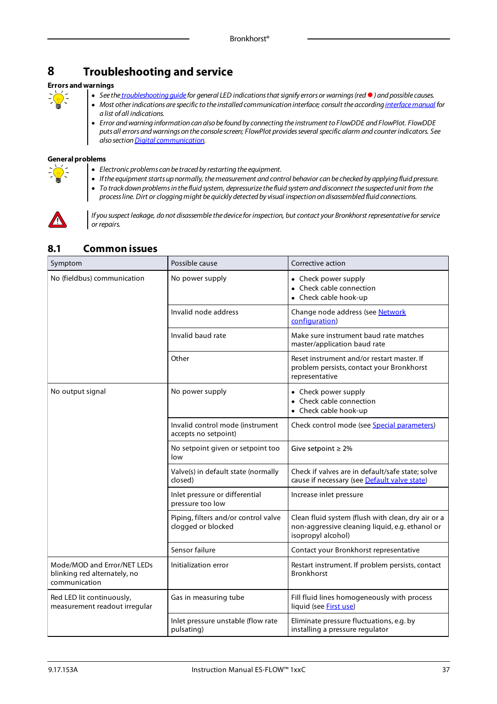# <span id="page-36-0"></span>**8 Troubleshooting and service**

### **Errors and warnings**

- See the <u>troubleshooting guide</u> for general LED indications that signify errors or warnings (red  $\bullet$  ) and possible causes.<br>• Most other indications are specific to the installed communication interface: consult the ac
- Most other indications are specific to the installed communication interface; consult the according [interface manual](#page-8-0) for a list of all indications.
	- · Error and warning information can also be found by connecting the instrument to FlowDDE and FlowPlot. FlowDDE puts all errors and warnings on the console screen; FlowPlot provides several specific alarm and counter indicators. See also section [Digital communication.](#page-22-0)

### **General problems**

- · Electronic problems can be traced by restarting the equipment.
- · If the equipment starts up normally, the measurement and control behavior can be checked by applying fluid pressure.
- · To track down problems in the fluid system, depressurize the fluid system and disconnect the suspected unit from the process line. Dirt or clogging might be quickly detected by visual inspection on disassembled fluid connections.



 $\frac{1}{2}$ 

If you suspect leakage, do not disassemble the device for inspection, but contact your Bronkhorst representative for service or repairs.

# <span id="page-36-1"></span>**8.1 Common issues**

| Symptom                                                                      | Possible cause                                             | Corrective action                                                                                                           |  |
|------------------------------------------------------------------------------|------------------------------------------------------------|-----------------------------------------------------------------------------------------------------------------------------|--|
| No (fieldbus) communication                                                  | No power supply                                            | • Check power supply<br>• Check cable connection<br>• Check cable hook-up                                                   |  |
|                                                                              | Invalid node address                                       | Change node address (see Network<br>configuration)                                                                          |  |
|                                                                              | Invalid baud rate                                          | Make sure instrument baud rate matches<br>master/application baud rate                                                      |  |
|                                                                              | Other                                                      | Reset instrument and/or restart master. If<br>problem persists, contact your Bronkhorst<br>representative                   |  |
| No output signal                                                             | No power supply                                            | • Check power supply<br>• Check cable connection<br>• Check cable hook-up                                                   |  |
|                                                                              | Invalid control mode (instrument<br>accepts no setpoint)   | Check control mode (see Special parameters)                                                                                 |  |
|                                                                              | No setpoint given or setpoint too<br>low                   | Give setpoint $\geq 2\%$                                                                                                    |  |
|                                                                              | Valve(s) in default state (normally<br>closed)             | Check if valves are in default/safe state; solve<br>cause if necessary (see Default valve state)                            |  |
|                                                                              | Inlet pressure or differential<br>pressure too low         | Increase inlet pressure                                                                                                     |  |
|                                                                              | Piping, filters and/or control valve<br>clogged or blocked | Clean fluid system (flush with clean, dry air or a<br>non-aggressive cleaning liquid, e.g. ethanol or<br>isopropyl alcohol) |  |
|                                                                              | Sensor failure                                             | Contact your Bronkhorst representative                                                                                      |  |
| Mode/MOD and Error/NET LEDs<br>blinking red alternately, no<br>communication | Initialization error                                       | Restart instrument. If problem persists, contact<br><b>Bronkhorst</b>                                                       |  |
| Red LED lit continuously,<br>measurement readout irregular                   | Gas in measuring tube                                      | Fill fluid lines homogeneously with process<br>liquid (see <b>First use</b> )                                               |  |
|                                                                              | Inlet pressure unstable (flow rate<br>pulsating)           | Eliminate pressure fluctuations, e.g. by<br>installing a pressure regulator                                                 |  |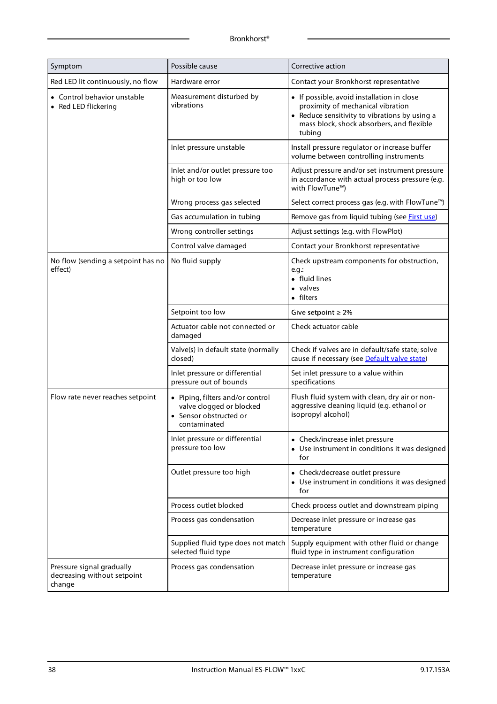| Symptom                                                            | Possible cause                                                                                         | Corrective action                                                                                                                                                                       |  |
|--------------------------------------------------------------------|--------------------------------------------------------------------------------------------------------|-----------------------------------------------------------------------------------------------------------------------------------------------------------------------------------------|--|
| Red LED lit continuously, no flow                                  | Hardware error                                                                                         | Contact your Bronkhorst representative                                                                                                                                                  |  |
| • Control behavior unstable<br>• Red LED flickering                | Measurement disturbed by<br>vibrations                                                                 | • If possible, avoid installation in close<br>proximity of mechanical vibration<br>• Reduce sensitivity to vibrations by using a<br>mass block, shock absorbers, and flexible<br>tubing |  |
|                                                                    | Inlet pressure unstable                                                                                | Install pressure regulator or increase buffer<br>volume between controlling instruments                                                                                                 |  |
|                                                                    | Inlet and/or outlet pressure too<br>high or too low                                                    | Adjust pressure and/or set instrument pressure<br>in accordance with actual process pressure (e.g.<br>with FlowTune <sup>™</sup> )                                                      |  |
|                                                                    | Wrong process gas selected                                                                             | Select correct process gas (e.g. with FlowTune <sup>™</sup> )                                                                                                                           |  |
|                                                                    | Gas accumulation in tubing                                                                             | Remove gas from liquid tubing (see <i>First use</i> )                                                                                                                                   |  |
|                                                                    | Wrong controller settings                                                                              | Adjust settings (e.g. with FlowPlot)                                                                                                                                                    |  |
|                                                                    | Control valve damaged                                                                                  | Contact your Bronkhorst representative                                                                                                                                                  |  |
| No flow (sending a setpoint has no<br>effect)                      | No fluid supply                                                                                        | Check upstream components for obstruction,<br>e.g.<br>• fluid lines<br>· valves<br>• filters                                                                                            |  |
|                                                                    | Setpoint too low                                                                                       | Give setpoint $\geq 2\%$                                                                                                                                                                |  |
|                                                                    | Actuator cable not connected or<br>damaged                                                             | Check actuator cable                                                                                                                                                                    |  |
|                                                                    | Valve(s) in default state (normally<br>closed)                                                         | Check if valves are in default/safe state; solve<br>cause if necessary (see Default valve state)                                                                                        |  |
|                                                                    | Inlet pressure or differential<br>pressure out of bounds                                               | Set inlet pressure to a value within<br>specifications                                                                                                                                  |  |
| Flow rate never reaches setpoint                                   | • Piping, filters and/or control<br>valve clogged or blocked<br>• Sensor obstructed or<br>contaminated | Flush fluid system with clean, dry air or non-<br>aggressive cleaning liquid (e.g. ethanol or<br>isopropyl alcohol)                                                                     |  |
|                                                                    | Inlet pressure or differential<br>pressure too low                                                     | • Check/increase inlet pressure<br>Use instrument in conditions it was designed<br>for                                                                                                  |  |
|                                                                    | Outlet pressure too high                                                                               | • Check/decrease outlet pressure<br>• Use instrument in conditions it was designed<br>for                                                                                               |  |
|                                                                    | Process outlet blocked                                                                                 | Check process outlet and downstream piping                                                                                                                                              |  |
|                                                                    | Process gas condensation                                                                               | Decrease inlet pressure or increase gas<br>temperature                                                                                                                                  |  |
|                                                                    | Supplied fluid type does not match<br>selected fluid type                                              | Supply equipment with other fluid or change<br>fluid type in instrument configuration                                                                                                   |  |
| Pressure signal gradually<br>decreasing without setpoint<br>change | Process gas condensation                                                                               | Decrease inlet pressure or increase gas<br>temperature                                                                                                                                  |  |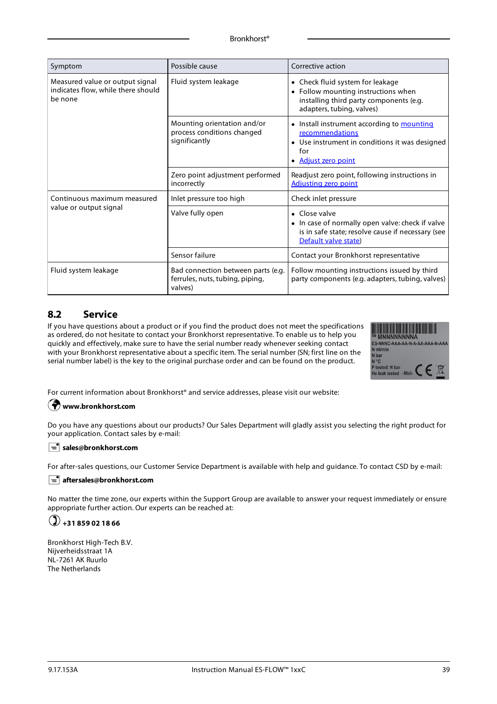| Symptom                                                                          | Possible cause                                                                   | Corrective action                                                                                                                                      |
|----------------------------------------------------------------------------------|----------------------------------------------------------------------------------|--------------------------------------------------------------------------------------------------------------------------------------------------------|
| Measured value or output signal<br>indicates flow, while there should<br>be none | Fluid system leakage                                                             | • Check fluid system for leakage<br>• Follow mounting instructions when<br>installing third party components (e.g.<br>adapters, tubing, valves)        |
|                                                                                  | Mounting orientation and/or<br>process conditions changed<br>significantly       | • Install instrument according to mounting<br>recommendations<br>• Use instrument in conditions it was designed<br>for<br>• Adjust zero point          |
|                                                                                  | Zero point adjustment performed<br>incorrectly                                   | Readjust zero point, following instructions in<br><b>Adjusting zero point</b>                                                                          |
| Continuous maximum measured<br>value or output signal                            | Inlet pressure too high                                                          | Check inlet pressure                                                                                                                                   |
|                                                                                  | Valve fully open                                                                 | $\bullet$ Close valve<br>• In case of normally open valve: check if valve<br>is in safe state; resolve cause if necessary (see<br>Default valve state) |
|                                                                                  | Sensor failure                                                                   | Contact your Bronkhorst representative                                                                                                                 |
| Fluid system leakage                                                             | Bad connection between parts (e.g.<br>ferrules, nuts, tubing, piping,<br>valves) | Follow mounting instructions issued by third<br>party components (e.g. adapters, tubing, valves)                                                       |

# <span id="page-38-0"></span>**8.2 Service**

If you have questions about a product or if you find the product does not meet the specifications as ordered, do not hesitate to contact your Bronkhorst representative. To enable us to help you quickly and effectively, make sure to have the serial number ready whenever seeking contact with your Bronkhorst representative about a specific item. The serial number (SN; first line on the serial number label) is the key to the original purchase order and can be found on the product.



For current information about Bronkhorst® and service addresses, please visit our website:

# **www.bronkhorst.com**

Do you have any questions about our products? Our Sales Department will gladly assist you selecting the right product for your application. Contact sales by e-mail:

#### **sales@bronkhorst.com**

For after-sales questions, our Customer Service Department is available with help and guidance. To contact CSD by e-mail:

### **aftersales@bronkhorst.com**

No matter the time zone, our experts within the Support Group are available to answer your request immediately or ensure appropriate further action. Our experts can be reached at:

# $\binom{9}{4}$  +31 859 02 18 66

Bronkhorst High-Tech B.V. Nijverheidsstraat 1A NL-7261 AK Ruurlo The Netherlands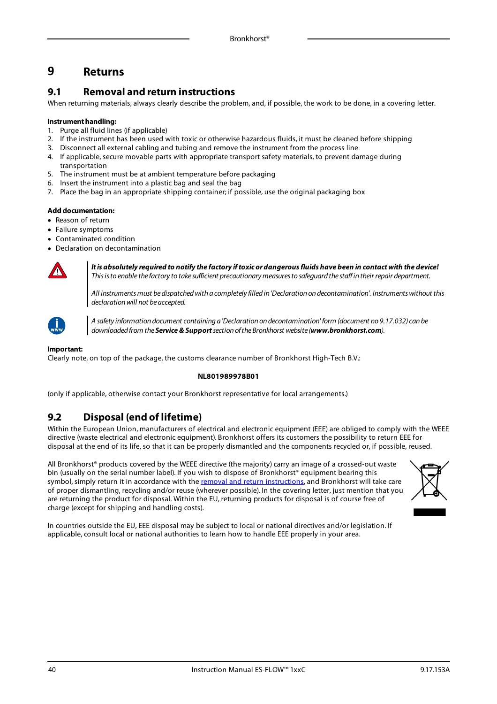# <span id="page-39-0"></span>**9 Returns**

# **9.1 Removal and return instructions**

When returning materials, always clearly describe the problem, and, if possible, the work to be done, in a covering letter.

### **Instrument handling:**

- 1. Purge all fluid lines (if applicable)
- 2. If the instrument has been used with toxic or otherwise hazardous fluids, it must be cleaned before shipping
- 3. Disconnect all external cabling and tubing and remove the instrument from the process line
- 4. If applicable, secure movable parts with appropriate transport safety materials, to prevent damage during transportation
- 5. The instrument must be at ambient temperature before packaging
- 6. Insert the instrument into a plastic bag and seal the bag
- 7. Place the bag in an appropriate shipping container; if possible, use the original packaging box

### **Add documentation:**

- · Reason of return
- · Failure symptoms
- · Contaminated condition
- · Declaration on decontamination



**It is absolutely required to notify the factory if toxic or dangerous fluids have been in contact with the device!** This is to enable the factory to take sufficient precautionary measures to safeguard the staff in their repair department.

All instruments must be dispatched with a completely filled in 'Declaration on decontamination'. Instruments without this declaration will not be accepted.



A safety information document containing a 'Declaration on decontamination' form (document no 9.17.032) can be downloaded from the **Service & Support** section of the Bronkhorst website (**www.bronkhorst.com**).

### **Important:**

Clearly note, on top of the package, the customs clearance number of Bronkhorst High-Tech B.V.:

### **NL801989978B01**

(only if applicable, otherwise contact your Bronkhorst representative for local arrangements.)

# <span id="page-39-1"></span>**9.2 Disposal (end of lifetime)**

Within the European Union, manufacturers of electrical and electronic equipment (EEE) are obliged to comply with the WEEE directive (waste electrical and electronic equipment). Bronkhorst offers its customers the possibility to return EEE for disposal at the end of its life, so that it can be properly dismantled and the components recycled or, if possible, reused.

All Bronkhorst® products covered by the WEEE directive (the majority) carry an image of a crossed-out waste bin (usually on the serial number label). If you wish to dispose of Bronkhorst® equipment bearing this symbol, simply return it in accordance with the [removal and return instructions,](#page-39-0) and Bronkhorst will take care of proper dismantling, recycling and/or reuse (wherever possible). In the covering letter, just mention that you are returning the product for disposal. Within the EU, returning products for disposal is of course free of charge (except for shipping and handling costs).



In countries outside the EU, EEE disposal may be subject to local or national directives and/or legislation. If applicable, consult local or national authorities to learn how to handle EEE properly in your area.